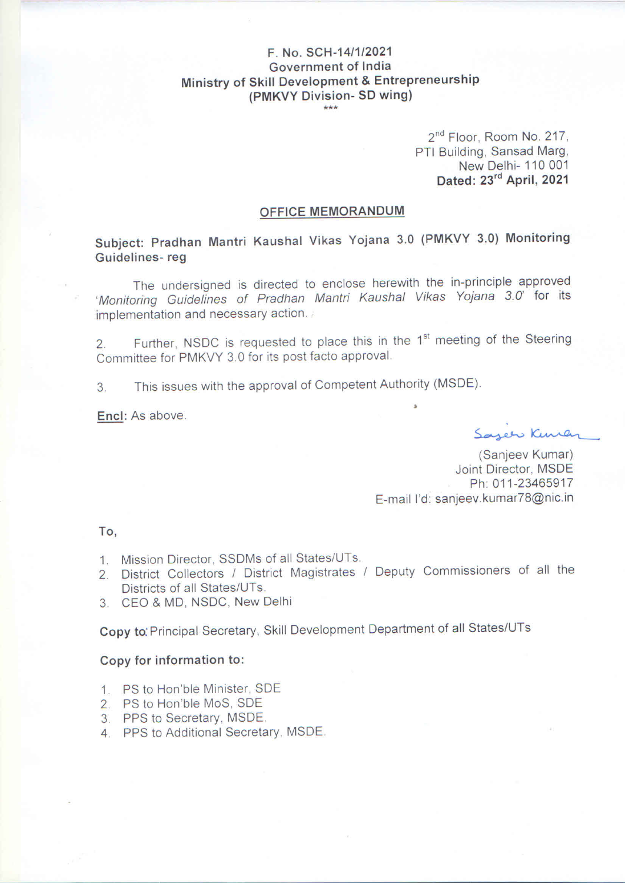## F. No. SCH-14/1/2021 Government of India Ministry of Skill Development & Entrepreneurship (PMKVY Division- SD wing)

2<sup>nd</sup> Floor, Room No. 217, PTI Building, Sansad Marg, New Delhi- 110 001 Dated: 23rd April, 2021

#### OFFICE MEMORANDUM

Subject: Pradhan Mantri Kaushal Vikas Yojana 3.0 (PMKVY 3.0) Monitoring Guidelines-reg

The undersigned is directed to enclose herewith the in-principle approved 'Monitoring Guidelines of Pradhan Mantri Kaushal Vikas Yojana 3.0' for its implementation and necessary action.

Further, NSDC is requested to place this in the 1<sup>st</sup> meeting of the Steering  $\overline{2}$ . Committee for PMKVY 3.0 for its post facto approval.

This issues with the approval of Competent Authority (MSDE).  $3.$ 

Encl: As above.

Sazer Kuren

(Sanjeev Kumar) Joint Director, MSDE Ph: 011-23465917 E-mail I'd: sanjeev.kumar78@nic.in

To.

- 1. Mission Director, SSDMs of all States/UTs.
- 2. District Collectors / District Magistrates / Deputy Commissioners of all the Districts of all States/UTs.
- 3. CEO & MD, NSDC, New Delhi

Copy to Principal Secretary, Skill Development Department of all States/UTs

#### Copy for information to:

- 1. PS to Hon'ble Minister. SDE
- 2. PS to Hon'ble MoS, SDE
- 3. PPS to Secretary, MSDE.
- 4. PPS to Additional Secretary, MSDE.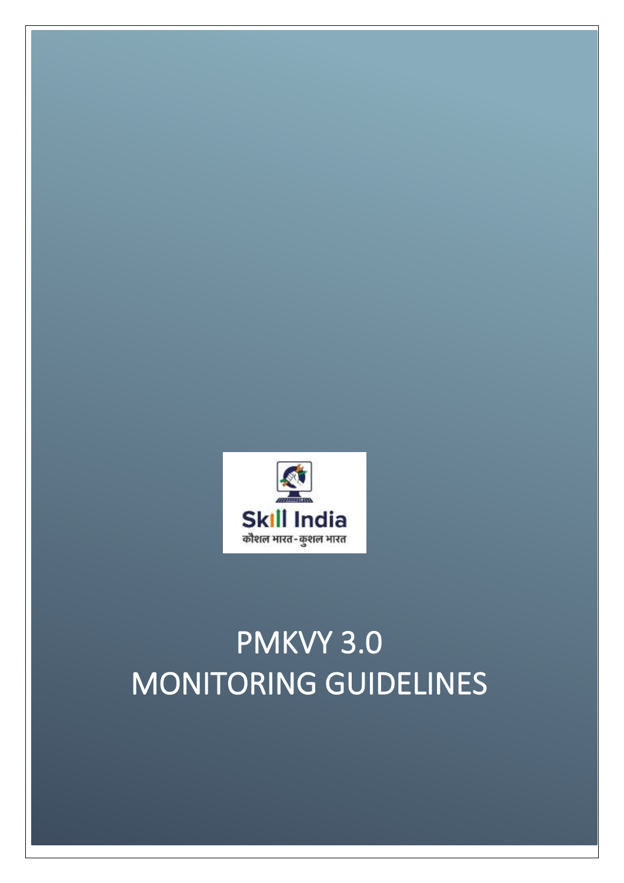# PMKVY 3.0 MONITORING GUIDELINES

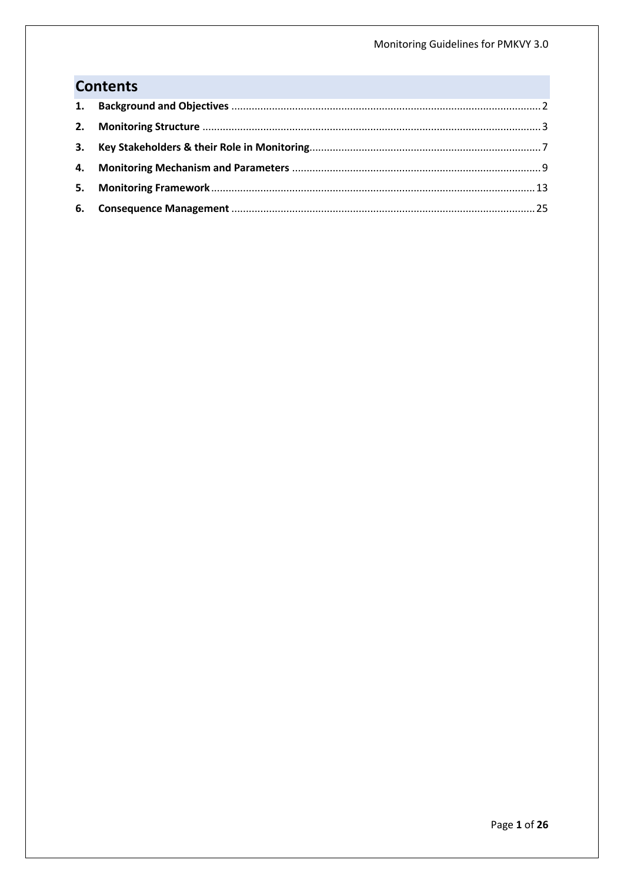## **Contents**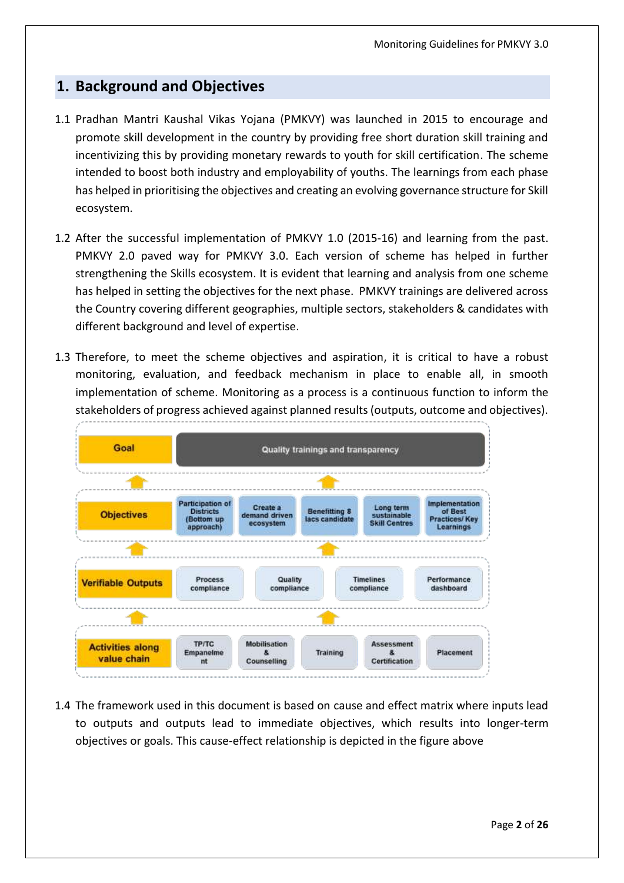## <span id="page-3-0"></span>**1. Background and Objectives**

- 1.1 Pradhan Mantri Kaushal Vikas Yojana (PMKVY) was launched in 2015 to encourage and promote skill development in the country by providing free short duration skill training and incentivizing this by providing monetary rewards to youth for skill certification. The scheme intended to boost both industry and employability of youths. The learnings from each phase has helped in prioritising the objectives and creating an evolving governance structure for Skill ecosystem.
- 1.2 After the successful implementation of PMKVY 1.0 (2015-16) and learning from the past. PMKVY 2.0 paved way for PMKVY 3.0. Each version of scheme has helped in further strengthening the Skills ecosystem. It is evident that learning and analysis from one scheme has helped in setting the objectives for the next phase. PMKVY trainings are delivered across the Country covering different geographies, multiple sectors, stakeholders & candidates with different background and level of expertise.
- 1.3 Therefore, to meet the scheme objectives and aspiration, it is critical to have a robust monitoring, evaluation, and feedback mechanism in place to enable all, in smooth implementation of scheme. Monitoring as a process is a continuous function to inform the stakeholders of progress achieved against planned results (outputs, outcome and objectives).



1.4 The framework used in this document is based on cause and effect matrix where inputs lead to outputs and outputs lead to immediate objectives, which results into longer-term objectives or goals. This cause-effect relationship is depicted in the figure above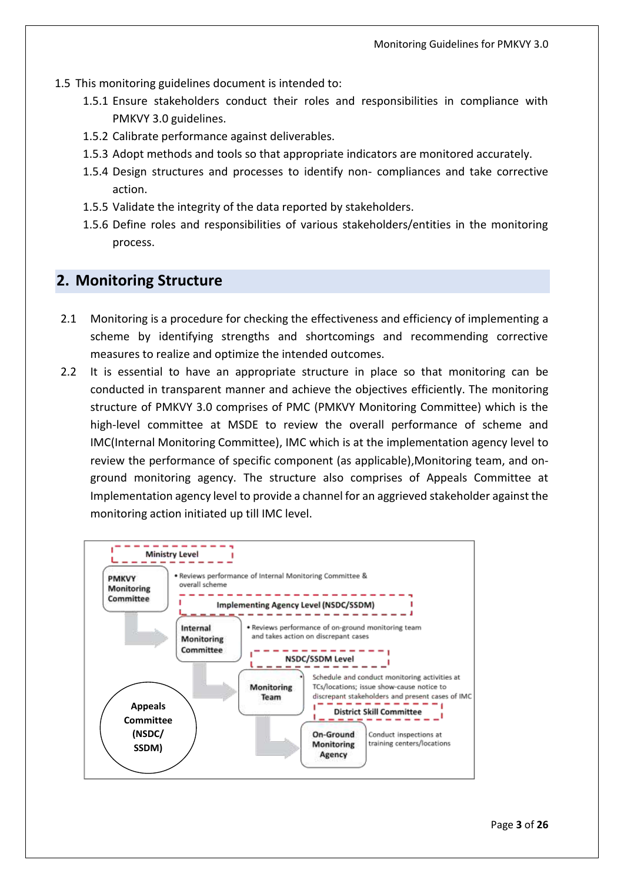- 1.5 This monitoring guidelines document is intended to:
	- 1.5.1 Ensure stakeholders conduct their roles and responsibilities in compliance with PMKVY 3.0 guidelines.
	- 1.5.2 Calibrate performance against deliverables.
	- 1.5.3 Adopt methods and tools so that appropriate indicators are monitored accurately.
	- 1.5.4 Design structures and processes to identify non- compliances and take corrective action.
	- 1.5.5 Validate the integrity of the data reported by stakeholders.
	- 1.5.6 Define roles and responsibilities of various stakeholders/entities in the monitoring process.

## <span id="page-4-0"></span>**2. Monitoring Structure**

- 2.1 Monitoring is a procedure for checking the effectiveness and efficiency of implementing a scheme by identifying strengths and shortcomings and recommending corrective measures to realize and optimize the intended outcomes.
- 2.2 It is essential to have an appropriate structure in place so that monitoring can be conducted in transparent manner and achieve the objectives efficiently. The monitoring structure of PMKVY 3.0 comprises of PMC (PMKVY Monitoring Committee) which is the high-level committee at MSDE to review the overall performance of scheme and IMC(Internal Monitoring Committee), IMC which is at the implementation agency level to review the performance of specific component (as applicable),Monitoring team, and onground monitoring agency. The structure also comprises of Appeals Committee at Implementation agency level to provide a channel for an aggrieved stakeholder against the monitoring action initiated up till IMC level.

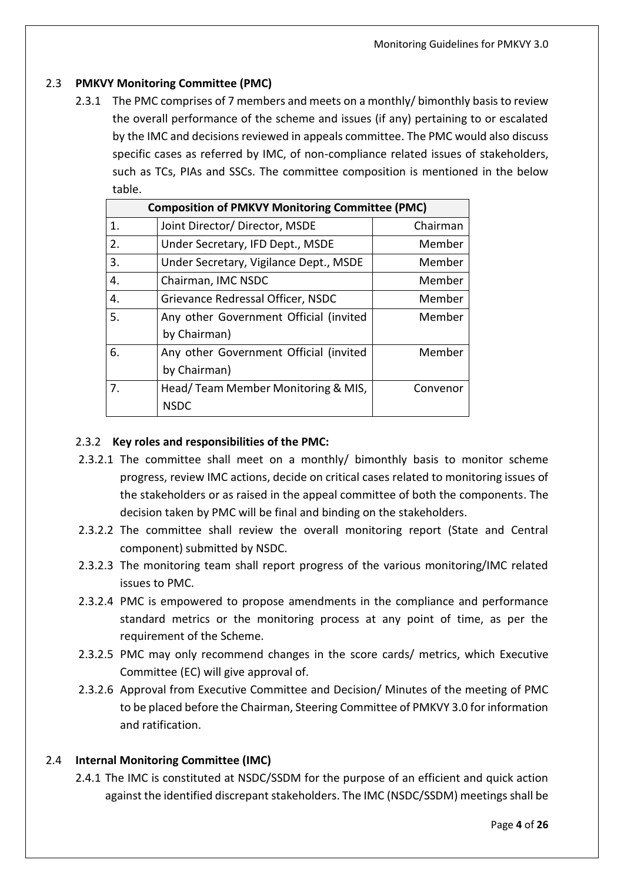#### 2.3 **PMKVY Monitoring Committee (PMC)**

2.3.1 The PMC comprises of 7 members and meets on a monthly/ bimonthly basis to review the overall performance of the scheme and issues (if any) pertaining to or escalated by the IMC and decisions reviewed in appeals committee. The PMC would also discuss specific cases as referred by IMC, of non-compliance related issues of stakeholders, such as TCs, PIAs and SSCs. The committee composition is mentioned in the below table.

|                | <b>Composition of PMKVY Monitoring Committee (PMC)</b> |          |  |  |  |  |  |  |
|----------------|--------------------------------------------------------|----------|--|--|--|--|--|--|
| $\mathbf{1}$ . | Joint Director/ Director, MSDE                         | Chairman |  |  |  |  |  |  |
| 2.             | Under Secretary, IFD Dept., MSDE                       | Member   |  |  |  |  |  |  |
| 3.             | Under Secretary, Vigilance Dept., MSDE                 | Member   |  |  |  |  |  |  |
| 4.             | Chairman, IMC NSDC                                     | Member   |  |  |  |  |  |  |
| 4.             | Grievance Redressal Officer, NSDC                      | Member   |  |  |  |  |  |  |
| -5.            | Any other Government Official (invited                 | Member   |  |  |  |  |  |  |
|                | by Chairman)                                           |          |  |  |  |  |  |  |
| 6.             | Any other Government Official (invited                 | Member   |  |  |  |  |  |  |
|                | by Chairman)                                           |          |  |  |  |  |  |  |
| 7.             | Head/Team Member Monitoring & MIS,                     | Convenor |  |  |  |  |  |  |
|                | <b>NSDC</b>                                            |          |  |  |  |  |  |  |

#### 2.3.2 **Key roles and responsibilities of the PMC:**

- 2.3.2.1 The committee shall meet on a monthly/ bimonthly basis to monitor scheme progress, review IMC actions, decide on critical cases related to monitoring issues of the stakeholders or as raised in the appeal committee of both the components. The decision taken by PMC will be final and binding on the stakeholders.
- 2.3.2.2 The committee shall review the overall monitoring report (State and Central component) submitted by NSDC.
- 2.3.2.3 The monitoring team shall report progress of the various monitoring/IMC related issues to PMC.
- 2.3.2.4 PMC is empowered to propose amendments in the compliance and performance standard metrics or the monitoring process at any point of time, as per the requirement of the Scheme.
- 2.3.2.5 PMC may only recommend changes in the score cards/ metrics, which Executive Committee (EC) will give approval of.
- 2.3.2.6 Approval from Executive Committee and Decision/ Minutes of the meeting of PMC to be placed before the Chairman, Steering Committee of PMKVY 3.0 for information and ratification.

#### 2.4 **Internal Monitoring Committee (IMC)**

2.4.1 The IMC is constituted at NSDC/SSDM for the purpose of an efficient and quick action against the identified discrepant stakeholders. The IMC (NSDC/SSDM) meetings shall be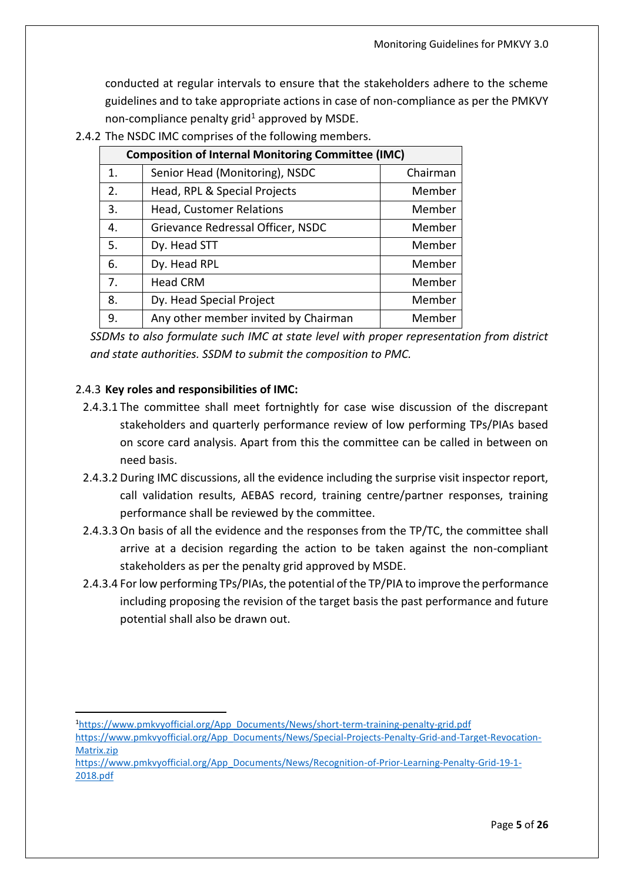conducted at regular intervals to ensure that the stakeholders adhere to the scheme guidelines and to take appropriate actions in case of non-compliance as per the PMKVY non-compliance penalty grid<sup>1</sup> approved by MSDE.

|                | <b>Composition of Internal Monitoring Committee (IMC)</b> |          |  |  |  |  |  |  |  |
|----------------|-----------------------------------------------------------|----------|--|--|--|--|--|--|--|
| $\mathbf{1}$ . | Senior Head (Monitoring), NSDC                            | Chairman |  |  |  |  |  |  |  |
| 2.             | Head, RPL & Special Projects                              | Member   |  |  |  |  |  |  |  |
| 3.             | Head, Customer Relations                                  | Member   |  |  |  |  |  |  |  |
| 4.             | Grievance Redressal Officer, NSDC                         | Member   |  |  |  |  |  |  |  |
| 5.             | Dy. Head STT                                              | Member   |  |  |  |  |  |  |  |
| 6.             | Dy. Head RPL                                              | Member   |  |  |  |  |  |  |  |
| 7.             | <b>Head CRM</b>                                           | Member   |  |  |  |  |  |  |  |
| 8.             | Dy. Head Special Project                                  | Member   |  |  |  |  |  |  |  |
| 9.             | Any other member invited by Chairman                      | Member   |  |  |  |  |  |  |  |

2.4.2 The NSDC IMC comprises of the following members.

*SSDMs to also formulate such IMC at state level with proper representation from district and state authorities. SSDM to submit the composition to PMC.*

#### 2.4.3 **Key roles and responsibilities of IMC:**

- 2.4.3.1 The committee shall meet fortnightly for case wise discussion of the discrepant stakeholders and quarterly performance review of low performing TPs/PIAs based on score card analysis. Apart from this the committee can be called in between on need basis.
- 2.4.3.2 During IMC discussions, all the evidence including the surprise visit inspector report, call validation results, AEBAS record, training centre/partner responses, training performance shall be reviewed by the committee.
- 2.4.3.3 On basis of all the evidence and the responses from the TP/TC, the committee shall arrive at a decision regarding the action to be taken against the non-compliant stakeholders as per the penalty grid approved by MSDE.
- 2.4.3.4 For low performing TPs/PIAs, the potential of the TP/PIA to improve the performance including proposing the revision of the target basis the past performance and future potential shall also be drawn out.

<sup>1</sup>[https://www.pmkvyofficial.org/App\\_Documents/News/short-term-training-penalty-grid.pdf](https://www.pmkvyofficial.org/App_Documents/News/short-term-training-penalty-grid.pdf)

[https://www.pmkvyofficial.org/App\\_Documents/News/Special-Projects-Penalty-Grid-and-Target-Revocation-](https://www.pmkvyofficial.org/App_Documents/News/Special-Projects-Penalty-Grid-and-Target-Revocation-Matrix.zip)[Matrix.zip](https://www.pmkvyofficial.org/App_Documents/News/Special-Projects-Penalty-Grid-and-Target-Revocation-Matrix.zip)

[https://www.pmkvyofficial.org/App\\_Documents/News/Recognition-of-Prior-Learning-Penalty-Grid-19-1-](https://www.pmkvyofficial.org/App_Documents/News/Recognition-of-Prior-Learning-Penalty-Grid-19-1-2018.pdf) [2018.pdf](https://www.pmkvyofficial.org/App_Documents/News/Recognition-of-Prior-Learning-Penalty-Grid-19-1-2018.pdf)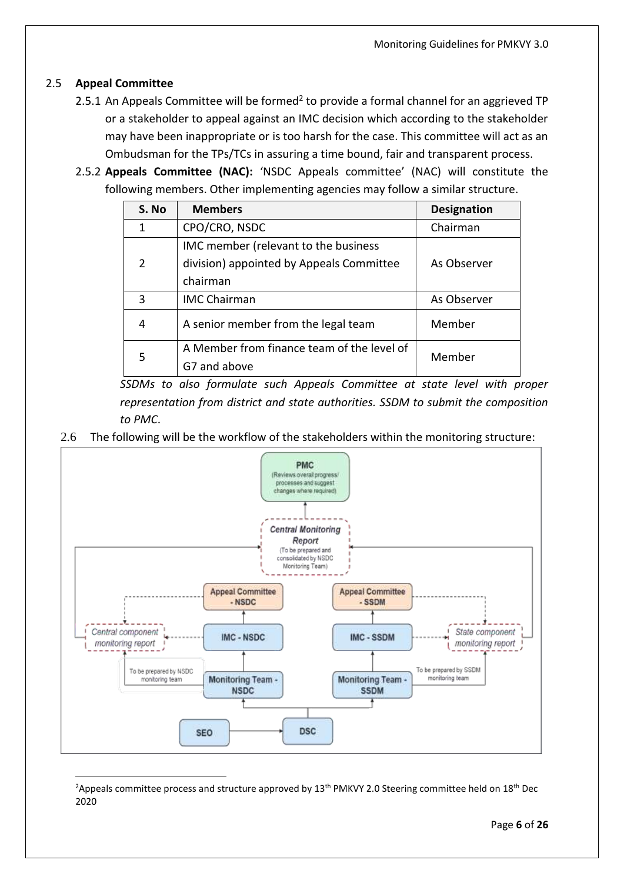#### 2.5 **Appeal Committee**

- 2.5.1 An Appeals Committee will be formed<sup>2</sup> to provide a formal channel for an aggrieved TP or a stakeholder to appeal against an IMC decision which according to the stakeholder may have been inappropriate or is too harsh for the case. This committee will act as an Ombudsman for the TPs/TCs in assuring a time bound, fair and transparent process.
- 2.5.2 **Appeals Committee (NAC):** 'NSDC Appeals committee' (NAC) will constitute the following members. Other implementing agencies may follow a similar structure.

| S. No         | <b>Members</b>                             | <b>Designation</b> |  |
|---------------|--------------------------------------------|--------------------|--|
| 1             | CPO/CRO, NSDC                              | Chairman           |  |
|               | IMC member (relevant to the business       |                    |  |
| $\mathcal{P}$ | division) appointed by Appeals Committee   | As Observer        |  |
|               | chairman                                   |                    |  |
| 3             | <b>IMC Chairman</b>                        | As Observer        |  |
| 4             | A senior member from the legal team        | Member             |  |
| 5             | A Member from finance team of the level of | Member             |  |
|               | G7 and above                               |                    |  |

*SSDMs to also formulate such Appeals Committee at state level with proper representation from district and state authorities. SSDM to submit the composition to PMC*.

2.6 The following will be the workflow of the stakeholders within the monitoring structure:



<sup>&</sup>lt;sup>2</sup>Appeals committee process and structure approved by 13<sup>th</sup> PMKVY 2.0 Steering committee held on 18<sup>th</sup> Dec 2020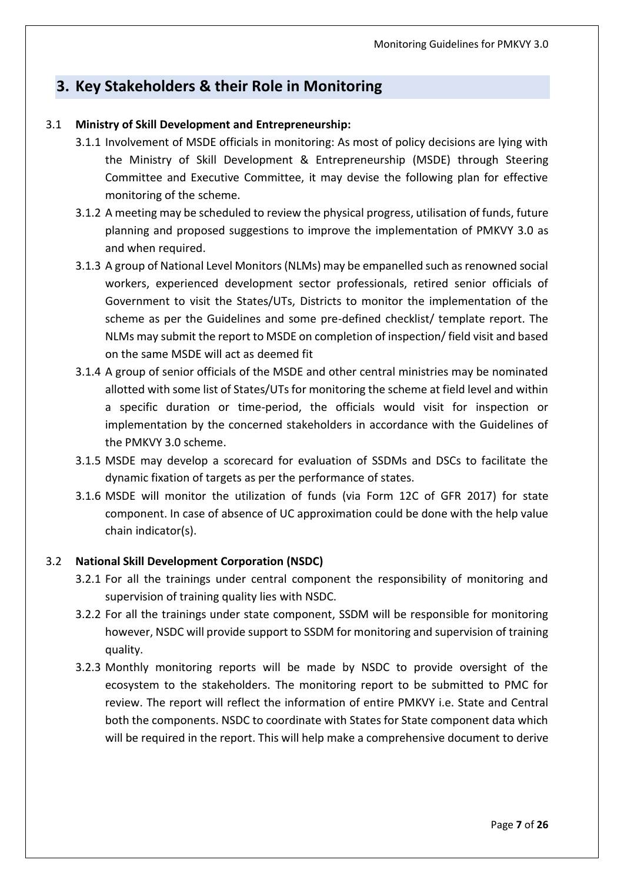## <span id="page-8-0"></span>**3. Key Stakeholders & their Role in Monitoring**

#### 3.1 **Ministry of Skill Development and Entrepreneurship:**

- 3.1.1 Involvement of MSDE officials in monitoring: As most of policy decisions are lying with the Ministry of Skill Development & Entrepreneurship (MSDE) through Steering Committee and Executive Committee, it may devise the following plan for effective monitoring of the scheme.
- 3.1.2 A meeting may be scheduled to review the physical progress, utilisation of funds, future planning and proposed suggestions to improve the implementation of PMKVY 3.0 as and when required.
- 3.1.3 A group of National Level Monitors (NLMs) may be empanelled such as renowned social workers, experienced development sector professionals, retired senior officials of Government to visit the States/UTs, Districts to monitor the implementation of the scheme as per the Guidelines and some pre-defined checklist/ template report. The NLMs may submit the report to MSDE on completion of inspection/ field visit and based on the same MSDE will act as deemed fit
- 3.1.4 A group of senior officials of the MSDE and other central ministries may be nominated allotted with some list of States/UTs for monitoring the scheme at field level and within a specific duration or time-period, the officials would visit for inspection or implementation by the concerned stakeholders in accordance with the Guidelines of the PMKVY 3.0 scheme.
- 3.1.5 MSDE may develop a scorecard for evaluation of SSDMs and DSCs to facilitate the dynamic fixation of targets as per the performance of states.
- 3.1.6 MSDE will monitor the utilization of funds (via Form 12C of GFR 2017) for state component. In case of absence of UC approximation could be done with the help value chain indicator(s).

#### 3.2 **National Skill Development Corporation (NSDC)**

- 3.2.1 For all the trainings under central component the responsibility of monitoring and supervision of training quality lies with NSDC.
- 3.2.2 For all the trainings under state component, SSDM will be responsible for monitoring however, NSDC will provide support to SSDM for monitoring and supervision of training quality.
- 3.2.3 Monthly monitoring reports will be made by NSDC to provide oversight of the ecosystem to the stakeholders. The monitoring report to be submitted to PMC for review. The report will reflect the information of entire PMKVY i.e. State and Central both the components. NSDC to coordinate with States for State component data which will be required in the report. This will help make a comprehensive document to derive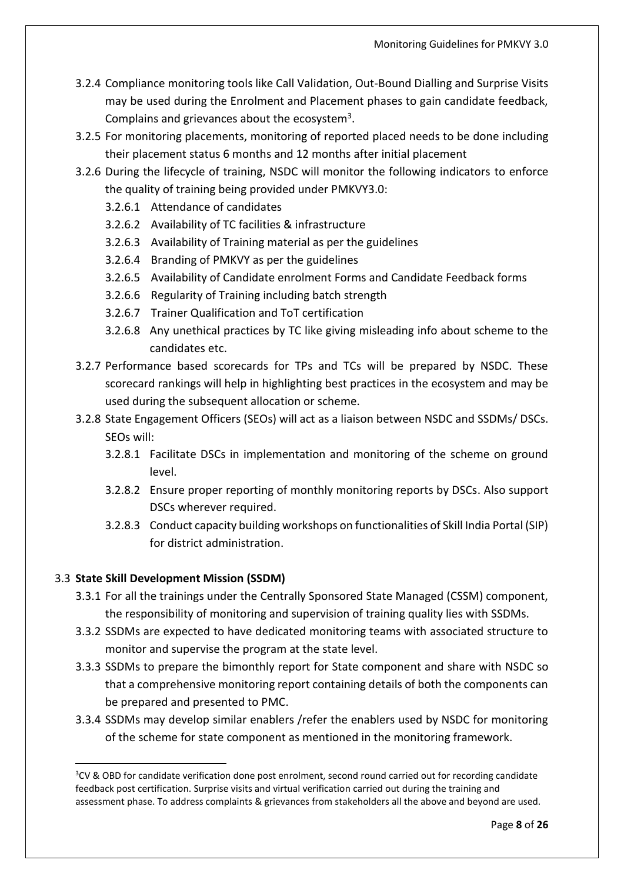- 3.2.4 Compliance monitoring tools like Call Validation, Out-Bound Dialling and Surprise Visits may be used during the Enrolment and Placement phases to gain candidate feedback, Complains and grievances about the ecosystem<sup>3</sup>.
- 3.2.5 For monitoring placements, monitoring of reported placed needs to be done including their placement status 6 months and 12 months after initial placement
- 3.2.6 During the lifecycle of training, NSDC will monitor the following indicators to enforce the quality of training being provided under PMKVY3.0:
	- 3.2.6.1 Attendance of candidates
	- 3.2.6.2 Availability of TC facilities & infrastructure
	- 3.2.6.3 Availability of Training material as per the guidelines
	- 3.2.6.4 Branding of PMKVY as per the guidelines
	- 3.2.6.5 Availability of Candidate enrolment Forms and Candidate Feedback forms
	- 3.2.6.6 Regularity of Training including batch strength
	- 3.2.6.7 Trainer Qualification and ToT certification
	- 3.2.6.8 Any unethical practices by TC like giving misleading info about scheme to the candidates etc.
- 3.2.7 Performance based scorecards for TPs and TCs will be prepared by NSDC. These scorecard rankings will help in highlighting best practices in the ecosystem and may be used during the subsequent allocation or scheme.
- 3.2.8 State Engagement Officers (SEOs) will act as a liaison between NSDC and SSDMs/ DSCs. SEOs will:
	- 3.2.8.1 Facilitate DSCs in implementation and monitoring of the scheme on ground level.
	- 3.2.8.2 Ensure proper reporting of monthly monitoring reports by DSCs. Also support DSCs wherever required.
	- 3.2.8.3 Conduct capacity building workshops on functionalities of Skill India Portal (SIP) for district administration.

## 3.3 **State Skill Development Mission (SSDM)**

- 3.3.1 For all the trainings under the Centrally Sponsored State Managed (CSSM) component, the responsibility of monitoring and supervision of training quality lies with SSDMs.
- 3.3.2 SSDMs are expected to have dedicated monitoring teams with associated structure to monitor and supervise the program at the state level.
- 3.3.3 SSDMs to prepare the bimonthly report for State component and share with NSDC so that a comprehensive monitoring report containing details of both the components can be prepared and presented to PMC.
- 3.3.4 SSDMs may develop similar enablers /refer the enablers used by NSDC for monitoring of the scheme for state component as mentioned in the monitoring framework.

<sup>&</sup>lt;sup>3</sup>CV & OBD for candidate verification done post enrolment, second round carried out for recording candidate feedback post certification. Surprise visits and virtual verification carried out during the training and assessment phase. To address complaints & grievances from stakeholders all the above and beyond are used.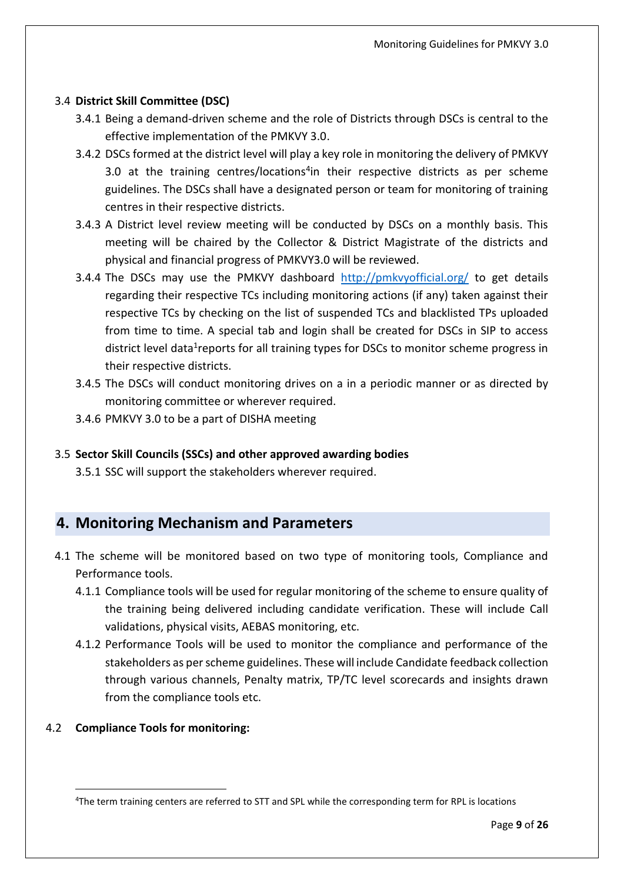#### 3.4 **District Skill Committee (DSC)**

- 3.4.1 Being a demand-driven scheme and the role of Districts through DSCs is central to the effective implementation of the PMKVY 3.0.
- 3.4.2 DSCs formed at the district level will play a key role in monitoring the delivery of PMKVY 3.0 at the training centres/locations<sup>4</sup>in their respective districts as per scheme guidelines. The DSCs shall have a designated person or team for monitoring of training centres in their respective districts.
- 3.4.3 A District level review meeting will be conducted by DSCs on a monthly basis. This meeting will be chaired by the Collector & District Magistrate of the districts and physical and financial progress of PMKVY3.0 will be reviewed.
- 3.4.4 The DSCs may use the PMKVY dashboard <http://pmkvyofficial.org/> to get details regarding their respective TCs including monitoring actions (if any) taken against their respective TCs by checking on the list of suspended TCs and blacklisted TPs uploaded from time to time. A special tab and login shall be created for DSCs in SIP to access district level data<sup>1</sup>reports for all training types for DSCs to monitor scheme progress in their respective districts.
- 3.4.5 The DSCs will conduct monitoring drives on a in a periodic manner or as directed by monitoring committee or wherever required.
- 3.4.6 PMKVY 3.0 to be a part of DISHA meeting

## 3.5 **Sector Skill Councils (SSCs) and other approved awarding bodies**

3.5.1 SSC will support the stakeholders wherever required.

## <span id="page-10-0"></span>**4. Monitoring Mechanism and Parameters**

- 4.1 The scheme will be monitored based on two type of monitoring tools, Compliance and Performance tools.
	- 4.1.1 Compliance tools will be used for regular monitoring of the scheme to ensure quality of the training being delivered including candidate verification. These will include Call validations, physical visits, AEBAS monitoring, etc.
	- 4.1.2 Performance Tools will be used to monitor the compliance and performance of the stakeholders as per scheme guidelines. These will include Candidate feedback collection through various channels, Penalty matrix, TP/TC level scorecards and insights drawn from the compliance tools etc.

#### 4.2 **Compliance Tools for monitoring:**

<sup>4</sup>The term training centers are referred to STT and SPL while the corresponding term for RPL is locations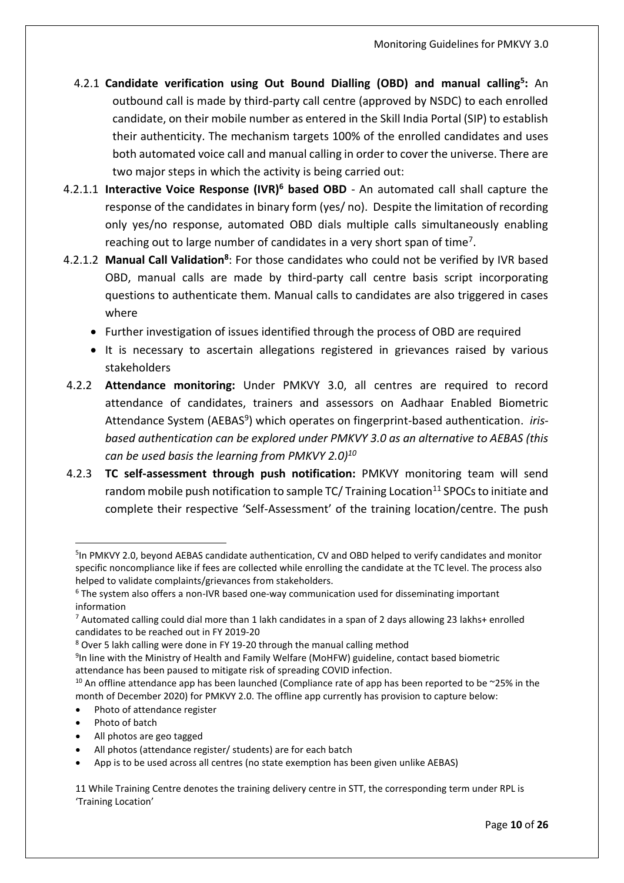- 4.2.1 **Candidate verification using Out Bound Dialling (OBD) and manual calling<sup>5</sup> :** An outbound call is made by third-party call centre (approved by NSDC) to each enrolled candidate, on their mobile number as entered in the Skill India Portal (SIP) to establish their authenticity. The mechanism targets 100% of the enrolled candidates and uses both automated voice call and manual calling in order to cover the universe. There are two major steps in which the activity is being carried out:
- 4.2.1.1 **Interactive Voice Response (IVR)<sup>6</sup> based OBD** An automated call shall capture the response of the candidates in binary form (yes/ no). Despite the limitation of recording only yes/no response, automated OBD dials multiple calls simultaneously enabling reaching out to large number of candidates in a very short span of time<sup>7</sup>.
- 4.2.1.2 **Manual Call Validation<sup>8</sup>** : For those candidates who could not be verified by IVR based OBD, manual calls are made by third-party call centre basis script incorporating questions to authenticate them. Manual calls to candidates are also triggered in cases where
	- Further investigation of issues identified through the process of OBD are required
	- It is necessary to ascertain allegations registered in grievances raised by various stakeholders
- 4.2.2 **Attendance monitoring:** Under PMKVY 3.0, all centres are required to record attendance of candidates, trainers and assessors on Aadhaar Enabled Biometric Attendance System (AEBAS<sup>9</sup>) which operates on fingerprint-based authentication. iris*based authentication can be explored under PMKVY 3.0 as an alternative to AEBAS (this can be used basis the learning from PMKVY 2.0)<sup>10</sup>*
- 4.2.3 **TC self-assessment through push notification:** PMKVY monitoring team will send random mobile push notification to sample  $TC/$  Training Location<sup>11</sup> SPOCs to initiate and complete their respective 'Self-Assessment' of the training location/centre. The push

• All photos are geo tagged

<sup>&</sup>lt;sup>5</sup>In PMKVY 2.0, beyond AEBAS candidate authentication, CV and OBD helped to verify candidates and monitor specific noncompliance like if fees are collected while enrolling the candidate at the TC level. The process also helped to validate complaints/grievances from stakeholders.

<sup>6</sup> The system also offers a non-IVR based one-way communication used for disseminating important information

<sup>7</sup> Automated calling could dial more than 1 lakh candidates in a span of 2 days allowing 23 lakhs+ enrolled candidates to be reached out in FY 2019-20

<sup>8</sup> Over 5 lakh calling were done in FY 19-20 through the manual calling method

<sup>9</sup> In line with the Ministry of Health and Family Welfare (MoHFW) guideline, contact based biometric attendance has been paused to mitigate risk of spreading COVID infection.

 $10$  An offline attendance app has been launched (Compliance rate of app has been reported to be  $\sim$ 25% in the month of December 2020) for PMKVY 2.0. The offline app currently has provision to capture below:

Photo of attendance register

Photo of batch

All photos (attendance register/ students) are for each batch

<sup>•</sup> App is to be used across all centres (no state exemption has been given unlike AEBAS)

<sup>11</sup> While Training Centre denotes the training delivery centre in STT, the corresponding term under RPL is 'Training Location'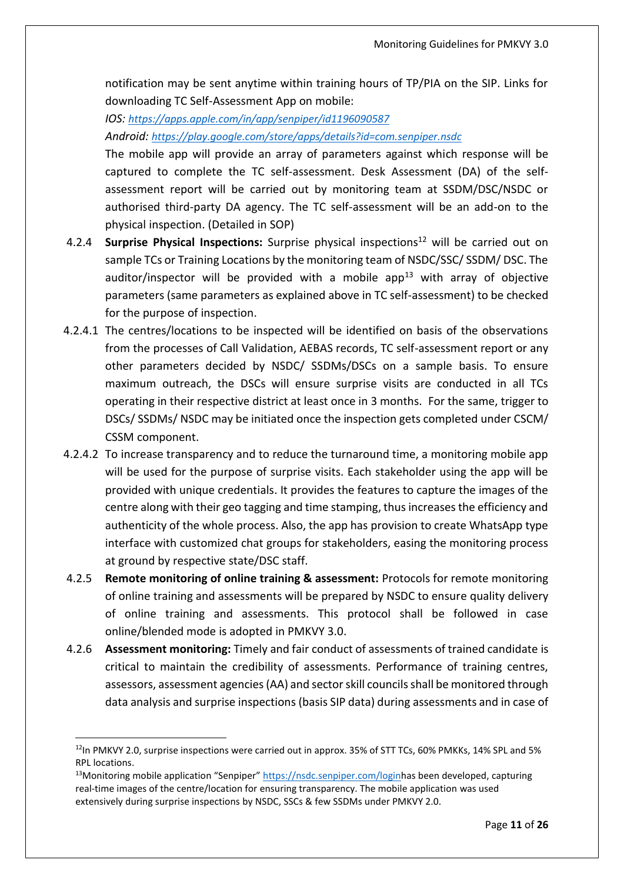notification may be sent anytime within training hours of TP/PIA on the SIP. Links for downloading TC Self-Assessment App on mobile:

*IOS: <https://apps.apple.com/in/app/senpiper/id1196090587>*

*Android: <https://play.google.com/store/apps/details?id=com.senpiper.nsdc>*

The mobile app will provide an array of parameters against which response will be captured to complete the TC self-assessment. Desk Assessment (DA) of the selfassessment report will be carried out by monitoring team at SSDM/DSC/NSDC or authorised third-party DA agency. The TC self-assessment will be an add-on to the physical inspection. (Detailed in SOP)

- 4.2.4 **Surprise Physical Inspections:** Surprise physical inspections<sup>12</sup> will be carried out on sample TCs or Training Locations by the monitoring team of NSDC/SSC/ SSDM/ DSC. The auditor/inspector will be provided with a mobile app<sup>13</sup> with array of objective parameters (same parameters as explained above in TC self-assessment) to be checked for the purpose of inspection.
- 4.2.4.1 The centres/locations to be inspected will be identified on basis of the observations from the processes of Call Validation, AEBAS records, TC self-assessment report or any other parameters decided by NSDC/ SSDMs/DSCs on a sample basis. To ensure maximum outreach, the DSCs will ensure surprise visits are conducted in all TCs operating in their respective district at least once in 3 months. For the same, trigger to DSCs/ SSDMs/ NSDC may be initiated once the inspection gets completed under CSCM/ CSSM component.
- 4.2.4.2 To increase transparency and to reduce the turnaround time, a monitoring mobile app will be used for the purpose of surprise visits. Each stakeholder using the app will be provided with unique credentials. It provides the features to capture the images of the centre along with their geo tagging and time stamping, thus increases the efficiency and authenticity of the whole process. Also, the app has provision to create WhatsApp type interface with customized chat groups for stakeholders, easing the monitoring process at ground by respective state/DSC staff.
- 4.2.5 **Remote monitoring of online training & assessment:** Protocols for remote monitoring of online training and assessments will be prepared by NSDC to ensure quality delivery of online training and assessments. This protocol shall be followed in case online/blended mode is adopted in PMKVY 3.0.
- 4.2.6 **Assessment monitoring:** Timely and fair conduct of assessments of trained candidate is critical to maintain the credibility of assessments. Performance of training centres, assessors, assessment agencies (AA) and sector skill councils shall be monitored through data analysis and surprise inspections (basis SIP data) during assessments and in case of

 $12$ In PMKVY 2.0, surprise inspections were carried out in approx. 35% of STT TCs, 60% PMKKs, 14% SPL and 5% RPL locations.

<sup>13</sup>Monitoring mobile application "Senpiper" [https://nsdc.senpiper.com/loginh](https://nsdc.senpiper.com/login)as been developed, capturing real-time images of the centre/location for ensuring transparency. The mobile application was used extensively during surprise inspections by NSDC, SSCs & few SSDMs under PMKVY 2.0.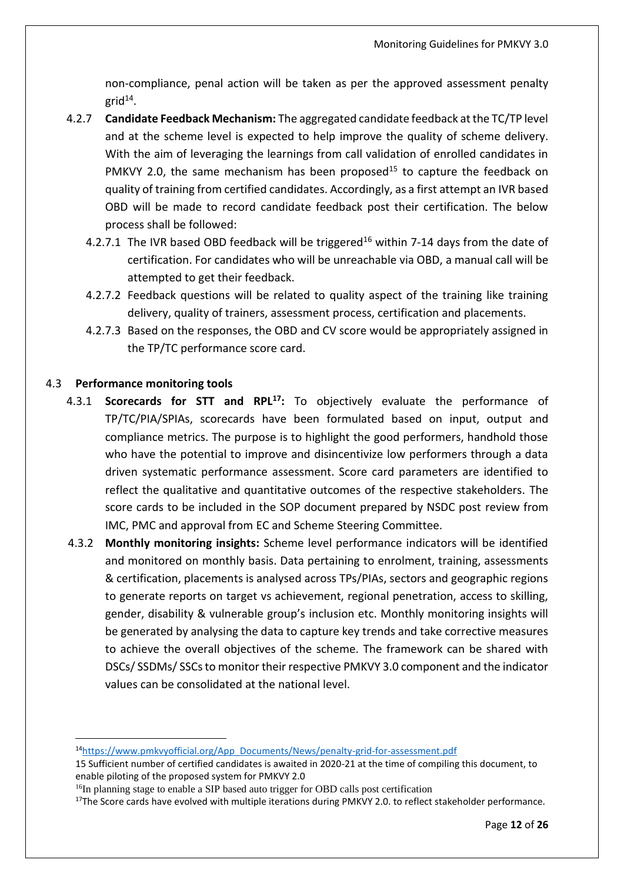non-compliance, penal action will be taken as per the approved assessment penalty grid $^{14}$ .

- 4.2.7 **Candidate Feedback Mechanism:** The aggregated candidate feedback at the TC/TP level and at the scheme level is expected to help improve the quality of scheme delivery. With the aim of leveraging the learnings from call validation of enrolled candidates in PMKVY 2.0, the same mechanism has been proposed<sup>15</sup> to capture the feedback on quality of training from certified candidates. Accordingly, as a first attempt an IVR based OBD will be made to record candidate feedback post their certification. The below process shall be followed:
	- 4.2.7.1 The IVR based OBD feedback will be triggered<sup>16</sup> within 7-14 days from the date of certification. For candidates who will be unreachable via OBD, a manual call will be attempted to get their feedback.
	- 4.2.7.2 Feedback questions will be related to quality aspect of the training like training delivery, quality of trainers, assessment process, certification and placements.
	- 4.2.7.3 Based on the responses, the OBD and CV score would be appropriately assigned in the TP/TC performance score card.

#### 4.3 **Performance monitoring tools**

- 4.3.1 **Scorecards for STT and RPL<sup>17</sup>:** To objectively evaluate the performance of TP/TC/PIA/SPIAs, scorecards have been formulated based on input, output and compliance metrics. The purpose is to highlight the good performers, handhold those who have the potential to improve and disincentivize low performers through a data driven systematic performance assessment. Score card parameters are identified to reflect the qualitative and quantitative outcomes of the respective stakeholders. The score cards to be included in the SOP document prepared by NSDC post review from IMC, PMC and approval from EC and Scheme Steering Committee.
- 4.3.2 **Monthly monitoring insights:** Scheme level performance indicators will be identified and monitored on monthly basis. Data pertaining to enrolment, training, assessments & certification, placements is analysed across TPs/PIAs, sectors and geographic regions to generate reports on target vs achievement, regional penetration, access to skilling, gender, disability & vulnerable group's inclusion etc. Monthly monitoring insights will be generated by analysing the data to capture key trends and take corrective measures to achieve the overall objectives of the scheme. The framework can be shared with DSCs/ SSDMs/ SSCs to monitor their respective PMKVY 3.0 component and the indicator values can be consolidated at the national level.

<sup>14</sup>[https://www.pmkvyofficial.org/App\\_Documents/News/penalty-grid-for-assessment.pdf](https://www.pmkvyofficial.org/App_Documents/News/penalty-grid-for-assessment.pdf)

<sup>15</sup> Sufficient number of certified candidates is awaited in 2020-21 at the time of compiling this document, to enable piloting of the proposed system for PMKVY 2.0

<sup>&</sup>lt;sup>16</sup>In planning stage to enable a SIP based auto trigger for OBD calls post certification

<sup>&</sup>lt;sup>17</sup>The Score cards have evolved with multiple iterations during PMKVY 2.0. to reflect stakeholder performance.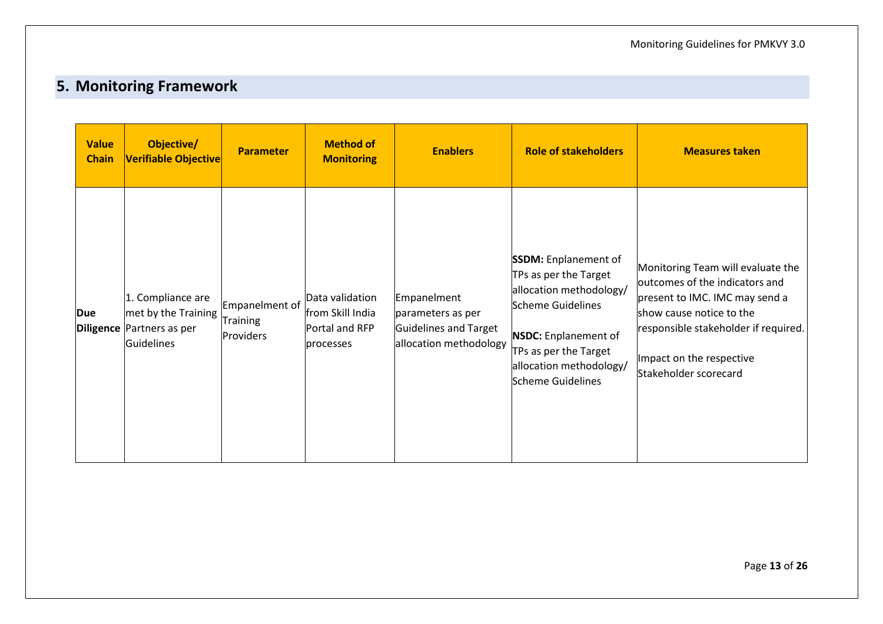# **5. Monitoring Framework**

<span id="page-14-0"></span>

| <b>Value</b><br><b>Chain</b> | Objective/<br>Verifiable Objective                                                                | <b>Parameter</b>                        | <b>Method of</b><br><b>Monitoring</b>                              | <b>Enablers</b>                                                                     | <b>Role of stakeholders</b>                                                                                                                                                                                  | <b>Measures taken</b>                                                                                                                                                                                                          |
|------------------------------|---------------------------------------------------------------------------------------------------|-----------------------------------------|--------------------------------------------------------------------|-------------------------------------------------------------------------------------|--------------------------------------------------------------------------------------------------------------------------------------------------------------------------------------------------------------|--------------------------------------------------------------------------------------------------------------------------------------------------------------------------------------------------------------------------------|
| Due                          | 1. Compliance are<br>met by the Training<br><b>Diligence</b> Partners as per<br><b>Guidelines</b> | Empanelment of<br>Training<br>Providers | Data validation<br>from Skill India<br>Portal and RFP<br>processes | Empanelment<br>parameters as per<br>Guidelines and Target<br>allocation methodology | <b>SSDM:</b> Enplanement of<br>TPs as per the Target<br>allocation methodology/<br>Scheme Guidelines<br><b>NSDC: Enplanement of</b><br>TPs as per the Target<br>allocation methodology/<br>Scheme Guidelines | Monitoring Team will evaluate the<br>outcomes of the indicators and<br>present to IMC. IMC may send a<br>show cause notice to the<br>responsible stakeholder if required.<br>Impact on the respective<br>Stakeholder scorecard |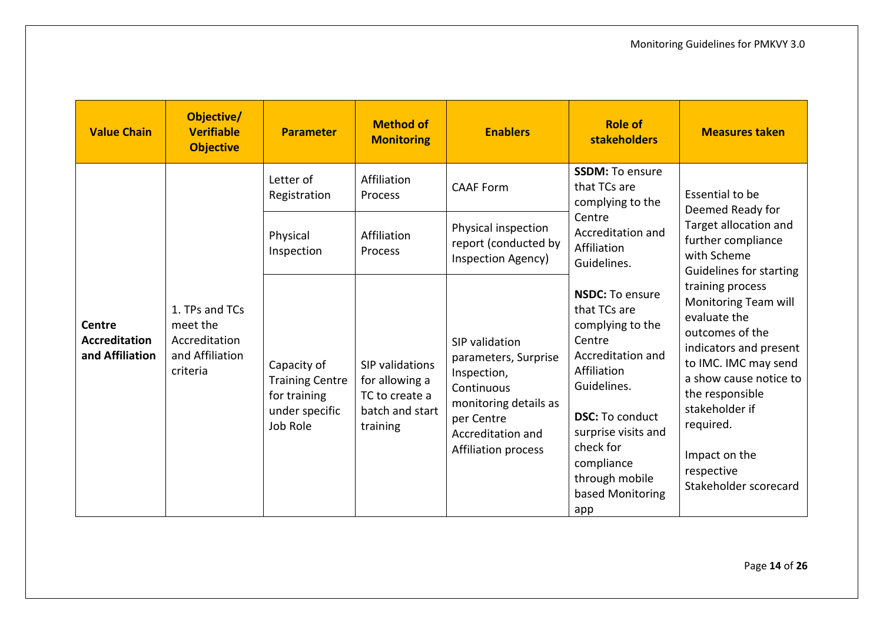| <b>Value Chain</b>                                       | Objective/<br><b>Verifiable</b><br><b>Objective</b>                        | <b>Parameter</b>                                                                    | <b>Method of</b><br><b>Monitoring</b>                                              | <b>Enablers</b>                                                                                                                                               | <b>Role of</b><br><b>stakeholders</b>                                                                                                                                                                                                            | <b>Measures taken</b>                                                                                                                                                                                                                                                                                                                                                                                    |
|----------------------------------------------------------|----------------------------------------------------------------------------|-------------------------------------------------------------------------------------|------------------------------------------------------------------------------------|---------------------------------------------------------------------------------------------------------------------------------------------------------------|--------------------------------------------------------------------------------------------------------------------------------------------------------------------------------------------------------------------------------------------------|----------------------------------------------------------------------------------------------------------------------------------------------------------------------------------------------------------------------------------------------------------------------------------------------------------------------------------------------------------------------------------------------------------|
| <b>Centre</b><br><b>Accreditation</b><br>and Affiliation | 1. TPs and TCs<br>meet the<br>Accreditation<br>and Affiliation<br>criteria | Letter of<br>Registration                                                           | Affiliation<br>Process                                                             | <b>CAAF Form</b>                                                                                                                                              | <b>SSDM: To ensure</b><br>that TCs are<br>complying to the                                                                                                                                                                                       | Essential to be<br>Deemed Ready for<br>Target allocation and<br>further compliance<br>with Scheme<br><b>Guidelines for starting</b><br>training process<br>Monitoring Team will<br>evaluate the<br>outcomes of the<br>indicators and present<br>to IMC. IMC may send<br>a show cause notice to<br>the responsible<br>stakeholder if<br>required.<br>Impact on the<br>respective<br>Stakeholder scorecard |
|                                                          |                                                                            | Physical<br>Inspection                                                              | Affiliation<br>Process                                                             | Physical inspection<br>report (conducted by<br>Inspection Agency)                                                                                             | Centre<br>Accreditation and<br>Affiliation<br>Guidelines.                                                                                                                                                                                        |                                                                                                                                                                                                                                                                                                                                                                                                          |
|                                                          |                                                                            | Capacity of<br><b>Training Centre</b><br>for training<br>under specific<br>Job Role | SIP validations<br>for allowing a<br>TC to create a<br>batch and start<br>training | SIP validation<br>parameters, Surprise<br>Inspection,<br>Continuous<br>monitoring details as<br>per Centre<br>Accreditation and<br><b>Affiliation process</b> | <b>NSDC: To ensure</b><br>that TCs are<br>complying to the<br>Centre<br>Accreditation and<br>Affiliation<br>Guidelines.<br><b>DSC: To conduct</b><br>surprise visits and<br>check for<br>compliance<br>through mobile<br>based Monitoring<br>app |                                                                                                                                                                                                                                                                                                                                                                                                          |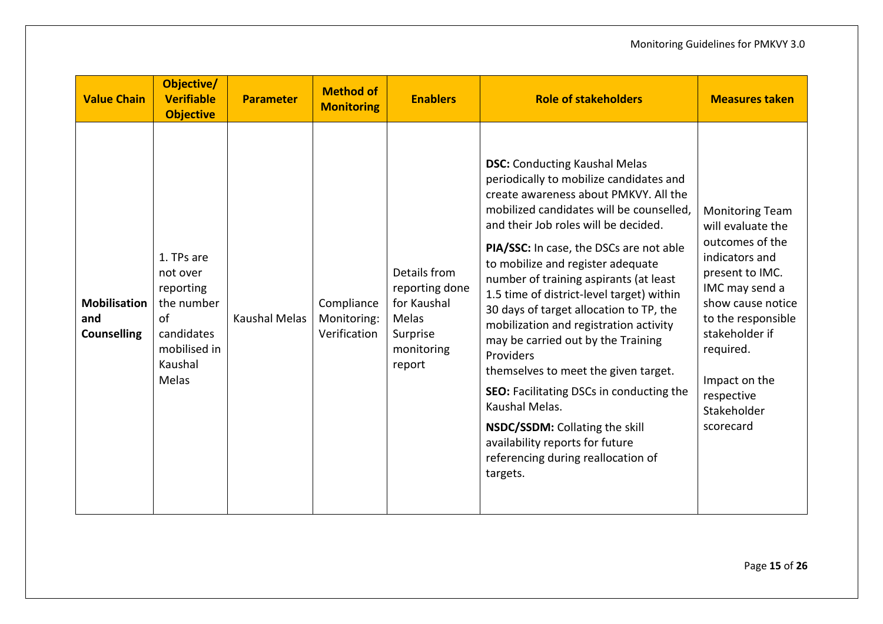| <b>Value Chain</b>                               | Objective/<br><b>Verifiable</b><br><b>Objective</b>                                                       | <b>Parameter</b>     | <b>Method of</b><br><b>Monitoring</b>     | <b>Enablers</b>                                                                            | <b>Role of stakeholders</b>                                                                                                                                                                                                                                                                                                                                                                                                                                                                                                                                                                                                                                                                                                                              | <b>Measures taken</b>                                                                                                                                                                                                                                      |
|--------------------------------------------------|-----------------------------------------------------------------------------------------------------------|----------------------|-------------------------------------------|--------------------------------------------------------------------------------------------|----------------------------------------------------------------------------------------------------------------------------------------------------------------------------------------------------------------------------------------------------------------------------------------------------------------------------------------------------------------------------------------------------------------------------------------------------------------------------------------------------------------------------------------------------------------------------------------------------------------------------------------------------------------------------------------------------------------------------------------------------------|------------------------------------------------------------------------------------------------------------------------------------------------------------------------------------------------------------------------------------------------------------|
| <b>Mobilisation</b><br>and<br><b>Counselling</b> | 1. TPs are<br>not over<br>reporting<br>the number<br>of<br>candidates<br>mobilised in<br>Kaushal<br>Melas | <b>Kaushal Melas</b> | Compliance<br>Monitoring:<br>Verification | Details from<br>reporting done<br>for Kaushal<br>Melas<br>Surprise<br>monitoring<br>report | <b>DSC:</b> Conducting Kaushal Melas<br>periodically to mobilize candidates and<br>create awareness about PMKVY. All the<br>mobilized candidates will be counselled,<br>and their Job roles will be decided.<br>PIA/SSC: In case, the DSCs are not able<br>to mobilize and register adequate<br>number of training aspirants (at least<br>1.5 time of district-level target) within<br>30 days of target allocation to TP, the<br>mobilization and registration activity<br>may be carried out by the Training<br>Providers<br>themselves to meet the given target.<br>SEO: Facilitating DSCs in conducting the<br>Kaushal Melas.<br>NSDC/SSDM: Collating the skill<br>availability reports for future<br>referencing during reallocation of<br>targets. | <b>Monitoring Team</b><br>will evaluate the<br>outcomes of the<br>indicators and<br>present to IMC.<br>IMC may send a<br>show cause notice<br>to the responsible<br>stakeholder if<br>required.<br>Impact on the<br>respective<br>Stakeholder<br>scorecard |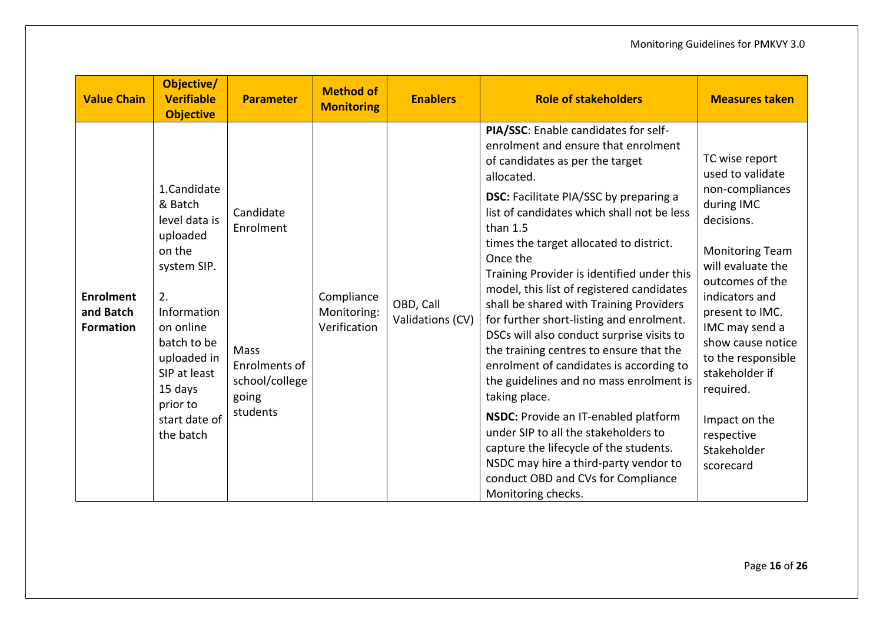| <b>Value Chain</b>                                | Objective/<br><b>Verifiable</b><br><b>Objective</b>                                                                                                                                                               | <b>Parameter</b>                                                                       | <b>Method of</b><br><b>Monitoring</b>     | <b>Enablers</b>               | <b>Role of stakeholders</b>                                                                                                                                                                                                                                                                                                                                                                                                                                                                                                                                                                                                                                                                                                                                                                                                                                                                                      | <b>Measures taken</b>                                                                                                                                                                                                                                                                                                                           |
|---------------------------------------------------|-------------------------------------------------------------------------------------------------------------------------------------------------------------------------------------------------------------------|----------------------------------------------------------------------------------------|-------------------------------------------|-------------------------------|------------------------------------------------------------------------------------------------------------------------------------------------------------------------------------------------------------------------------------------------------------------------------------------------------------------------------------------------------------------------------------------------------------------------------------------------------------------------------------------------------------------------------------------------------------------------------------------------------------------------------------------------------------------------------------------------------------------------------------------------------------------------------------------------------------------------------------------------------------------------------------------------------------------|-------------------------------------------------------------------------------------------------------------------------------------------------------------------------------------------------------------------------------------------------------------------------------------------------------------------------------------------------|
| <b>Enrolment</b><br>and Batch<br><b>Formation</b> | 1.Candidate<br>& Batch<br>level data is<br>uploaded<br>on the<br>system SIP.<br>2.<br>Information<br>on online<br>batch to be<br>uploaded in<br>SIP at least<br>15 days<br>prior to<br>start date of<br>the batch | Candidate<br>Enrolment<br>Mass<br>Enrolments of<br>school/college<br>going<br>students | Compliance<br>Monitoring:<br>Verification | OBD, Call<br>Validations (CV) | PIA/SSC: Enable candidates for self-<br>enrolment and ensure that enrolment<br>of candidates as per the target<br>allocated.<br><b>DSC:</b> Facilitate PIA/SSC by preparing a<br>list of candidates which shall not be less<br>than $1.5$<br>times the target allocated to district.<br>Once the<br>Training Provider is identified under this<br>model, this list of registered candidates<br>shall be shared with Training Providers<br>for further short-listing and enrolment.<br>DSCs will also conduct surprise visits to<br>the training centres to ensure that the<br>enrolment of candidates is according to<br>the guidelines and no mass enrolment is<br>taking place.<br>NSDC: Provide an IT-enabled platform<br>under SIP to all the stakeholders to<br>capture the lifecycle of the students.<br>NSDC may hire a third-party vendor to<br>conduct OBD and CVs for Compliance<br>Monitoring checks. | TC wise report<br>used to validate<br>non-compliances<br>during IMC<br>decisions.<br><b>Monitoring Team</b><br>will evaluate the<br>outcomes of the<br>indicators and<br>present to IMC.<br>IMC may send a<br>show cause notice<br>to the responsible<br>stakeholder if<br>required.<br>Impact on the<br>respective<br>Stakeholder<br>scorecard |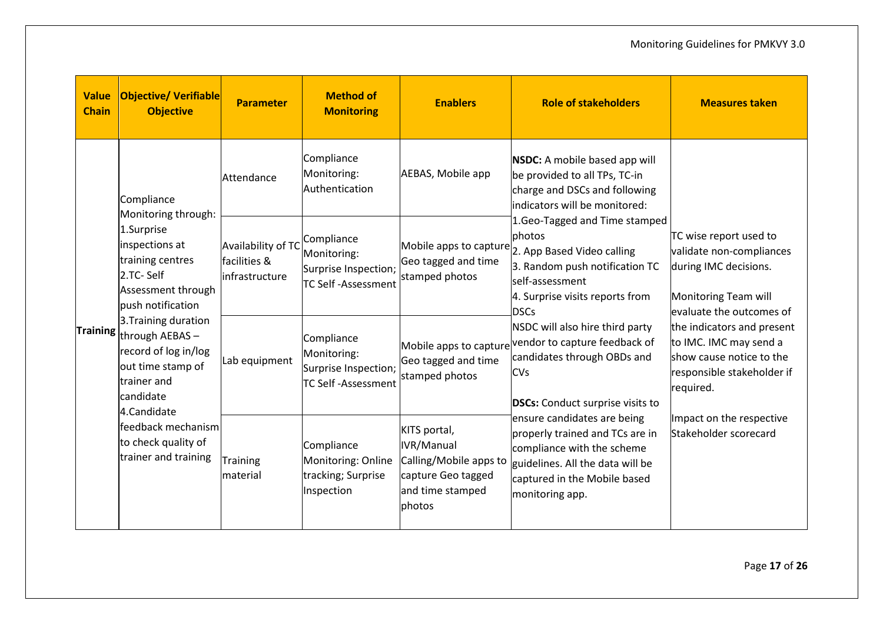| <b>Value</b><br><b>Chain</b> | <b>Objective/ Verifiable</b><br><b>Objective</b>                                                                                                                                                                                                                                                                                                              | <b>Parameter</b>                                                                                                                                                                                                          | <b>Method of</b><br><b>Monitoring</b>                                          | <b>Enablers</b>                                                                                          | <b>Role of stakeholders</b>                                                                                                                                                                                                                                                                                                                     | <b>Measures taken</b>                                                                                                                                                                                                                                                 |
|------------------------------|---------------------------------------------------------------------------------------------------------------------------------------------------------------------------------------------------------------------------------------------------------------------------------------------------------------------------------------------------------------|---------------------------------------------------------------------------------------------------------------------------------------------------------------------------------------------------------------------------|--------------------------------------------------------------------------------|----------------------------------------------------------------------------------------------------------|-------------------------------------------------------------------------------------------------------------------------------------------------------------------------------------------------------------------------------------------------------------------------------------------------------------------------------------------------|-----------------------------------------------------------------------------------------------------------------------------------------------------------------------------------------------------------------------------------------------------------------------|
|                              | Compliance<br>Monitoring through:<br>1.Surprise<br>inspections at<br>training centres<br>2.TC-Self<br>Assessment through<br>push notification<br>3. Training duration<br>Training through AEBAS-<br>record of log in/log<br>out time stamp of<br>trainer and<br>candidate<br>4.Candidate<br>feedback mechanism<br>to check quality of<br>trainer and training | Compliance<br><b>NSDC:</b> A mobile based app will<br>Monitoring:<br>AEBAS, Mobile app<br>be provided to all TPs, TC-in<br>Attendance<br>Authentication<br>charge and DSCs and following<br>indicators will be monitored: |                                                                                |                                                                                                          |                                                                                                                                                                                                                                                                                                                                                 |                                                                                                                                                                                                                                                                       |
|                              |                                                                                                                                                                                                                                                                                                                                                               | Availability of TC<br>facilities &<br>linfrastructure                                                                                                                                                                     | Compliance<br>Monitoring:<br>Surprise Inspection;<br><b>TC Self-Assessment</b> | Geo tagged and time<br>stamped photos                                                                    | 1. Geo-Tagged and Time stamped<br>photos<br>Mobile apps to capture $\vert$ 2. App Based Video calling<br>3. Random push notification TC<br>lself-assessment<br>4. Surprise visits reports from<br><b>DSCs</b>                                                                                                                                   | TC wise report used to<br>validate non-compliances<br>during IMC decisions.<br><b>Monitoring Team will</b><br>evaluate the outcomes of<br>the indicators and present<br>to IMC. IMC may send a<br>show cause notice to the<br>responsible stakeholder if<br>required. |
|                              |                                                                                                                                                                                                                                                                                                                                                               | Lab equipment                                                                                                                                                                                                             | Compliance<br>Monitoring:<br>Surprise Inspection;<br><b>TC Self-Assessment</b> | Mobile apps to capture<br>Geo tagged and time<br>stamped photos                                          | NSDC will also hire third party<br>vendor to capture feedback of<br>candidates through OBDs and<br><b>CVs</b><br><b>DSCs:</b> Conduct surprise visits to<br>ensure candidates are being<br>properly trained and TCs are in<br>compliance with the scheme<br>guidelines. All the data will be<br>captured in the Mobile based<br>monitoring app. |                                                                                                                                                                                                                                                                       |
|                              |                                                                                                                                                                                                                                                                                                                                                               | Training<br>material                                                                                                                                                                                                      | Compliance<br>Monitoring: Online<br>tracking; Surprise<br>Inspection           | KITS portal,<br>IVR/Manual<br>Calling/Mobile apps to<br>capture Geo tagged<br>and time stamped<br>photos |                                                                                                                                                                                                                                                                                                                                                 | Impact on the respective<br>Stakeholder scorecard                                                                                                                                                                                                                     |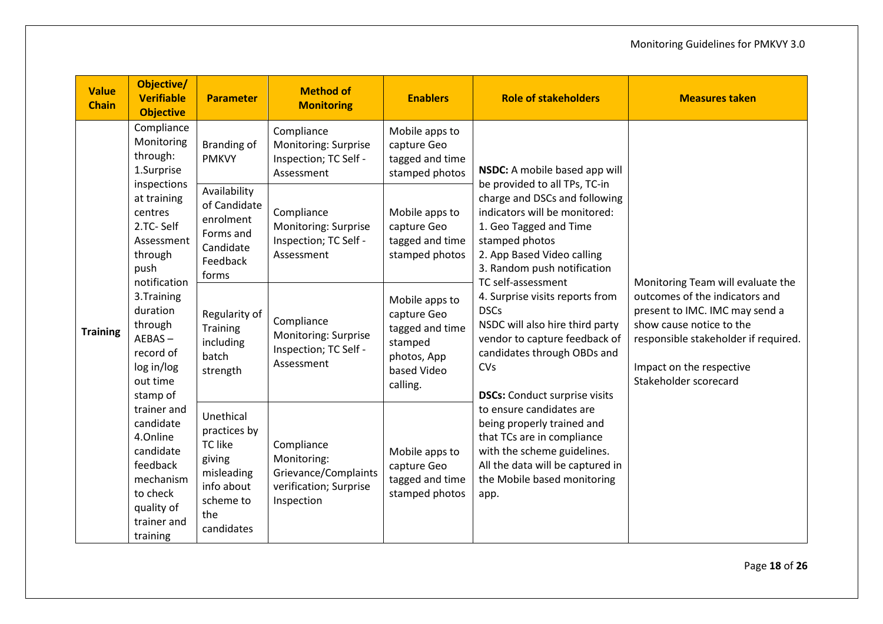| <b>Value</b><br><b>Chain</b> | Objective/<br><b>Verifiable</b><br><b>Objective</b>                                                                                                                                                                                                                                                                                                                                                | <b>Parameter</b>                                                                                                    | <b>Method of</b><br><b>Monitoring</b>                                                                                                                                                                                                                                                                                                                                                                           | <b>Enablers</b>                                                    | <b>Role of stakeholders</b>                                                                                                                                                                                                               | <b>Measures taken</b> |                                   |
|------------------------------|----------------------------------------------------------------------------------------------------------------------------------------------------------------------------------------------------------------------------------------------------------------------------------------------------------------------------------------------------------------------------------------------------|---------------------------------------------------------------------------------------------------------------------|-----------------------------------------------------------------------------------------------------------------------------------------------------------------------------------------------------------------------------------------------------------------------------------------------------------------------------------------------------------------------------------------------------------------|--------------------------------------------------------------------|-------------------------------------------------------------------------------------------------------------------------------------------------------------------------------------------------------------------------------------------|-----------------------|-----------------------------------|
| <b>Training</b>              | Compliance<br>Monitoring<br>through:<br>1.Surprise<br>inspections<br>at training<br>centres<br>2.TC-Self<br>Assessment<br>through<br>push<br>notification<br>3. Training<br>duration<br>through<br>$AEBAS -$<br>record of<br>log in/log<br>out time<br>stamp of<br>trainer and<br>candidate<br>4.Online<br>candidate<br>feedback<br>mechanism<br>to check<br>quality of<br>trainer and<br>training | <b>Branding of</b><br><b>PMKVY</b>                                                                                  | Compliance<br>Monitoring: Surprise<br>Inspection; TC Self -<br>Assessment                                                                                                                                                                                                                                                                                                                                       | Mobile apps to<br>capture Geo<br>tagged and time<br>stamped photos | NSDC: A mobile based app will<br>be provided to all TPs, TC-in<br>charge and DSCs and following<br>indicators will be monitored:<br>1. Geo Tagged and Time<br>stamped photos<br>2. App Based Video calling<br>3. Random push notification |                       |                                   |
|                              |                                                                                                                                                                                                                                                                                                                                                                                                    | Availability<br>of Candidate<br>enrolment<br>Forms and<br>Candidate<br>Feedback<br>forms                            | Compliance<br>Monitoring: Surprise<br>Inspection; TC Self -<br>Assessment                                                                                                                                                                                                                                                                                                                                       | Mobile apps to<br>capture Geo<br>tagged and time<br>stamped photos |                                                                                                                                                                                                                                           |                       | Monitoring Team will evaluate the |
|                              |                                                                                                                                                                                                                                                                                                                                                                                                    | Regularity of<br>Training<br>including<br>batch<br>strength                                                         | 4. Surprise visits reports from<br>Mobile apps to<br><b>DSCs</b><br>capture Geo<br>Compliance<br>NSDC will also hire third party<br>tagged and time<br>Monitoring: Surprise<br>vendor to capture feedback of<br>stamped<br>Inspection; TC Self -<br>candidates through OBDs and<br>photos, App<br>Assessment<br>CVs<br>based Video<br>Stakeholder scorecard<br>calling.<br><b>DSCs:</b> Conduct surprise visits | TC self-assessment                                                 | outcomes of the indicators and<br>present to IMC. IMC may send a<br>show cause notice to the<br>responsible stakeholder if required.<br>Impact on the respective                                                                          |                       |                                   |
|                              |                                                                                                                                                                                                                                                                                                                                                                                                    | Unethical<br>practices by<br><b>TC like</b><br>giving<br>misleading<br>info about<br>scheme to<br>the<br>candidates | Compliance<br>Monitoring:<br>Grievance/Complaints<br>verification; Surprise<br>Inspection                                                                                                                                                                                                                                                                                                                       | Mobile apps to<br>capture Geo<br>tagged and time<br>stamped photos | to ensure candidates are<br>being properly trained and<br>that TCs are in compliance<br>with the scheme guidelines.<br>All the data will be captured in<br>the Mobile based monitoring<br>app.                                            |                       |                                   |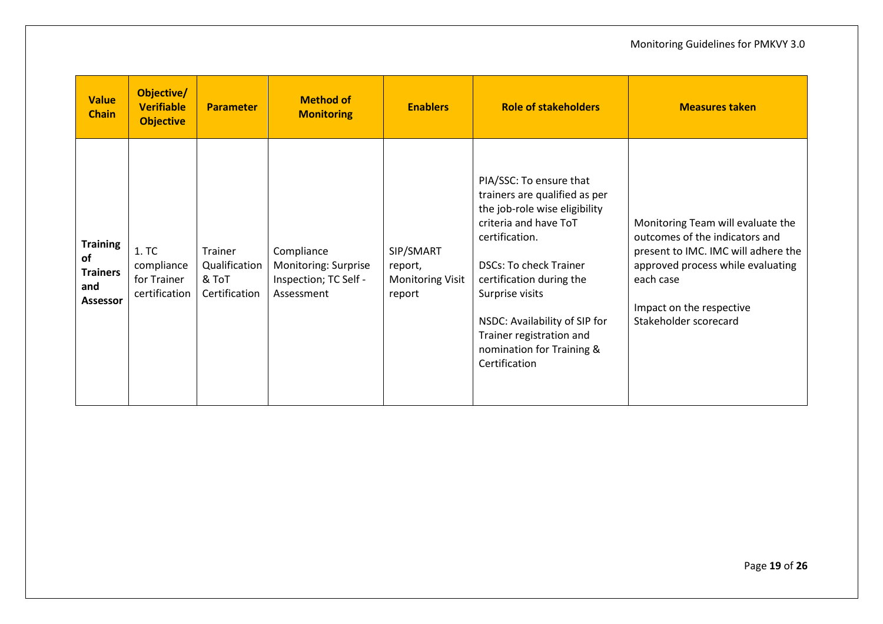| <b>Value</b><br><b>Chain</b>                                       | Objective/<br><b>Verifiable</b><br><b>Objective</b> | <b>Parameter</b>                                   | <b>Method of</b><br><b>Monitoring</b>                                     | <b>Enablers</b>                                           | <b>Role of stakeholders</b>                                                                                                                                                                                                                                                                                                     | <b>Measures taken</b>                                                                                                                                                                                             |
|--------------------------------------------------------------------|-----------------------------------------------------|----------------------------------------------------|---------------------------------------------------------------------------|-----------------------------------------------------------|---------------------------------------------------------------------------------------------------------------------------------------------------------------------------------------------------------------------------------------------------------------------------------------------------------------------------------|-------------------------------------------------------------------------------------------------------------------------------------------------------------------------------------------------------------------|
| <b>Training</b><br>of<br><b>Trainers</b><br>and<br><b>Assessor</b> | 1. TC<br>compliance<br>for Trainer<br>certification | Trainer<br>Qualification<br>& ToT<br>Certification | Compliance<br>Monitoring: Surprise<br>Inspection; TC Self -<br>Assessment | SIP/SMART<br>report,<br><b>Monitoring Visit</b><br>report | PIA/SSC: To ensure that<br>trainers are qualified as per<br>the job-role wise eligibility<br>criteria and have ToT<br>certification.<br><b>DSCs: To check Trainer</b><br>certification during the<br>Surprise visits<br>NSDC: Availability of SIP for<br>Trainer registration and<br>nomination for Training &<br>Certification | Monitoring Team will evaluate the<br>outcomes of the indicators and<br>present to IMC. IMC will adhere the<br>approved process while evaluating<br>each case<br>Impact on the respective<br>Stakeholder scorecard |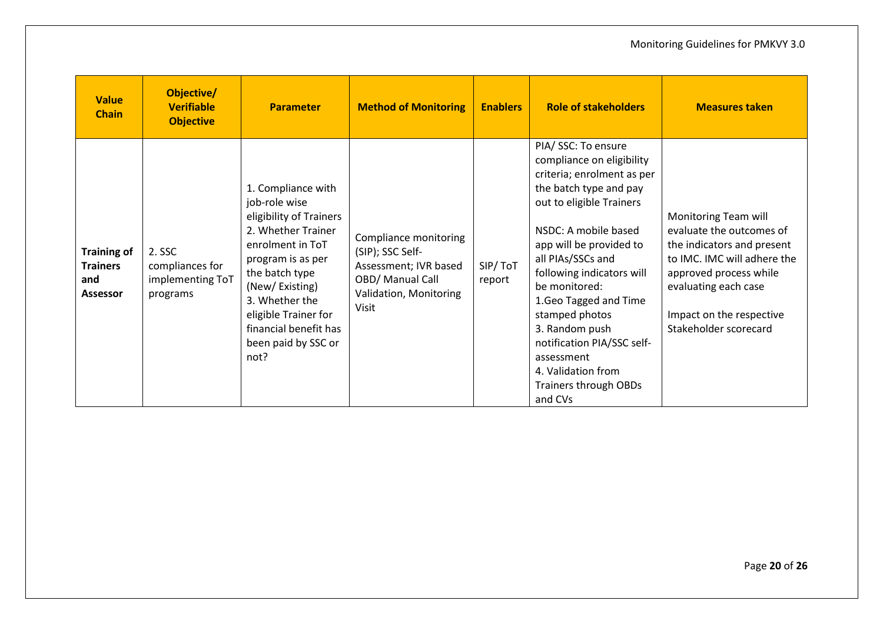| <b>Value</b><br><b>Chain</b>                                    | Objective/<br><b>Verifiable</b><br><b>Objective</b>       | <b>Parameter</b>                                                                                                                                                                                                                                                    | <b>Method of Monitoring</b>                                                                                               | <b>Enablers</b>   | <b>Role of stakeholders</b>                                                                                                                                                                                                                                                                                                                                                                                                           | <b>Measures taken</b>                                                                                                                                                                                                |
|-----------------------------------------------------------------|-----------------------------------------------------------|---------------------------------------------------------------------------------------------------------------------------------------------------------------------------------------------------------------------------------------------------------------------|---------------------------------------------------------------------------------------------------------------------------|-------------------|---------------------------------------------------------------------------------------------------------------------------------------------------------------------------------------------------------------------------------------------------------------------------------------------------------------------------------------------------------------------------------------------------------------------------------------|----------------------------------------------------------------------------------------------------------------------------------------------------------------------------------------------------------------------|
| <b>Training of</b><br><b>Trainers</b><br>and<br><b>Assessor</b> | 2. SSC<br>compliances for<br>implementing ToT<br>programs | 1. Compliance with<br>job-role wise<br>eligibility of Trainers<br>2. Whether Trainer<br>enrolment in ToT<br>program is as per<br>the batch type<br>(New/Existing)<br>3. Whether the<br>eligible Trainer for<br>financial benefit has<br>been paid by SSC or<br>not? | Compliance monitoring<br>(SIP); SSC Self-<br>Assessment; IVR based<br>OBD/ Manual Call<br>Validation, Monitoring<br>Visit | SIP/ToT<br>report | PIA/ SSC: To ensure<br>compliance on eligibility<br>criteria; enrolment as per<br>the batch type and pay<br>out to eligible Trainers<br>NSDC: A mobile based<br>app will be provided to<br>all PIAs/SSCs and<br>following indicators will<br>be monitored:<br>1. Geo Tagged and Time<br>stamped photos<br>3. Random push<br>notification PIA/SSC self-<br>assessment<br>4. Validation from<br><b>Trainers through OBDs</b><br>and CVs | Monitoring Team will<br>evaluate the outcomes of<br>the indicators and present<br>to IMC. IMC will adhere the<br>approved process while<br>evaluating each case<br>Impact on the respective<br>Stakeholder scorecard |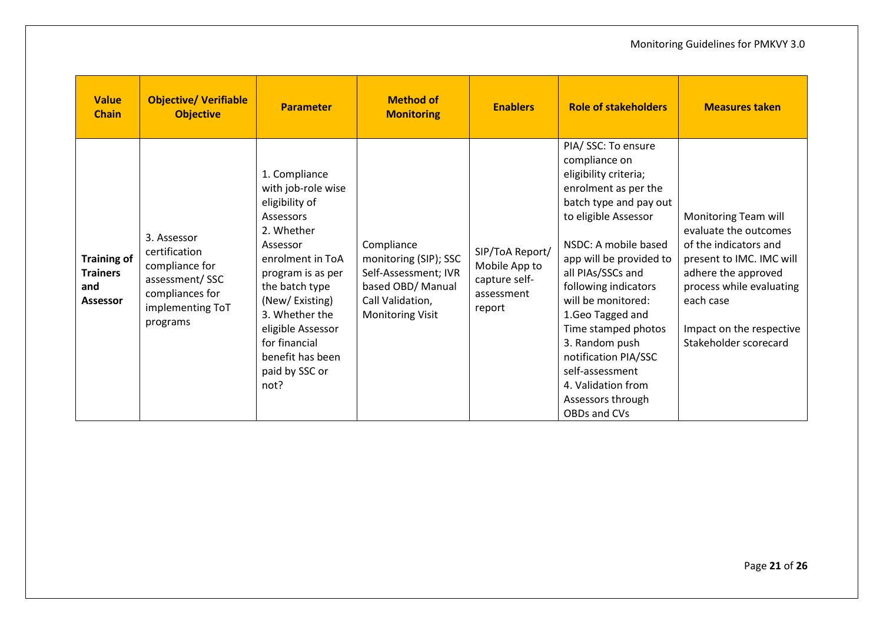| <b>Value</b><br><b>Chain</b>                                    | <b>Objective/ Verifiable</b><br><b>Objective</b>                                                                    | <b>Parameter</b>                                                                                                                                                                                                                                                                | <b>Method of</b><br><b>Monitoring</b>                                                                                           | <b>Enablers</b>                                                           | <b>Role of stakeholders</b>                                                                                                                                                                                                                                                                                                                                                                                                      | <b>Measures taken</b>                                                                                                                                                                                                   |
|-----------------------------------------------------------------|---------------------------------------------------------------------------------------------------------------------|---------------------------------------------------------------------------------------------------------------------------------------------------------------------------------------------------------------------------------------------------------------------------------|---------------------------------------------------------------------------------------------------------------------------------|---------------------------------------------------------------------------|----------------------------------------------------------------------------------------------------------------------------------------------------------------------------------------------------------------------------------------------------------------------------------------------------------------------------------------------------------------------------------------------------------------------------------|-------------------------------------------------------------------------------------------------------------------------------------------------------------------------------------------------------------------------|
| <b>Training of</b><br><b>Trainers</b><br>and<br><b>Assessor</b> | 3. Assessor<br>certification<br>compliance for<br>assessment/SSC<br>compliances for<br>implementing ToT<br>programs | 1. Compliance<br>with job-role wise<br>eligibility of<br>Assessors<br>2. Whether<br>Assessor<br>enrolment in ToA<br>program is as per<br>the batch type<br>(New/Existing)<br>3. Whether the<br>eligible Assessor<br>for financial<br>benefit has been<br>paid by SSC or<br>not? | Compliance<br>monitoring (SIP); SSC<br>Self-Assessment; IVR<br>based OBD/ Manual<br>Call Validation,<br><b>Monitoring Visit</b> | SIP/ToA Report/<br>Mobile App to<br>capture self-<br>assessment<br>report | PIA/ SSC: To ensure<br>compliance on<br>eligibility criteria;<br>enrolment as per the<br>batch type and pay out<br>to eligible Assessor<br>NSDC: A mobile based<br>app will be provided to<br>all PIAs/SSCs and<br>following indicators<br>will be monitored:<br>1.Geo Tagged and<br>Time stamped photos<br>3. Random push<br>notification PIA/SSC<br>self-assessment<br>4. Validation from<br>Assessors through<br>OBDs and CVs | Monitoring Team will<br>evaluate the outcomes<br>of the indicators and<br>present to IMC. IMC will<br>adhere the approved<br>process while evaluating<br>each case<br>Impact on the respective<br>Stakeholder scorecard |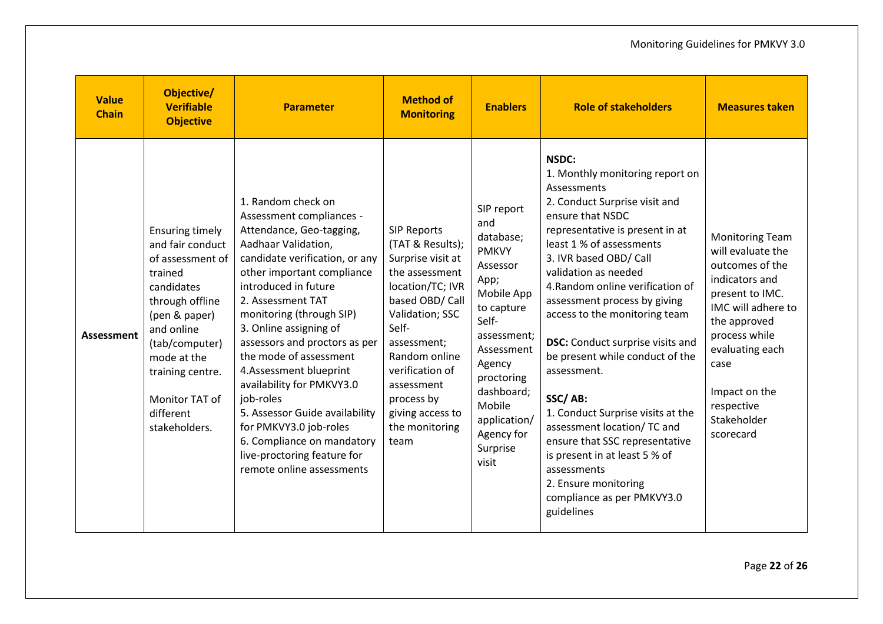| <b>Value</b><br><b>Chain</b> | Objective/<br><b>Verifiable</b><br><b>Objective</b>                                                                                                                                                                                            | <b>Parameter</b>                                                                                                                                                                                                                                                                                                                                                                                                                                                                                                                                          | <b>Method of</b><br><b>Monitoring</b>                                                                                                                                                                                                                                         | <b>Enablers</b>                                                                                                                                                                                                                         | <b>Role of stakeholders</b>                                                                                                                                                                                                                                                                                                                                                                                                                                                                                                                                                                                                                                          | <b>Measures taken</b>                                                                                                                                                                                                                            |
|------------------------------|------------------------------------------------------------------------------------------------------------------------------------------------------------------------------------------------------------------------------------------------|-----------------------------------------------------------------------------------------------------------------------------------------------------------------------------------------------------------------------------------------------------------------------------------------------------------------------------------------------------------------------------------------------------------------------------------------------------------------------------------------------------------------------------------------------------------|-------------------------------------------------------------------------------------------------------------------------------------------------------------------------------------------------------------------------------------------------------------------------------|-----------------------------------------------------------------------------------------------------------------------------------------------------------------------------------------------------------------------------------------|----------------------------------------------------------------------------------------------------------------------------------------------------------------------------------------------------------------------------------------------------------------------------------------------------------------------------------------------------------------------------------------------------------------------------------------------------------------------------------------------------------------------------------------------------------------------------------------------------------------------------------------------------------------------|--------------------------------------------------------------------------------------------------------------------------------------------------------------------------------------------------------------------------------------------------|
| Assessment                   | <b>Ensuring timely</b><br>and fair conduct<br>of assessment of<br>trained<br>candidates<br>through offline<br>(pen & paper)<br>and online<br>(tab/computer)<br>mode at the<br>training centre.<br>Monitor TAT of<br>different<br>stakeholders. | 1. Random check on<br>Assessment compliances -<br>Attendance, Geo-tagging,<br>Aadhaar Validation,<br>candidate verification, or any<br>other important compliance<br>introduced in future<br>2. Assessment TAT<br>monitoring (through SIP)<br>3. Online assigning of<br>assessors and proctors as per<br>the mode of assessment<br>4.Assessment blueprint<br>availability for PMKVY3.0<br>job-roles<br>5. Assessor Guide availability<br>for PMKVY3.0 job-roles<br>6. Compliance on mandatory<br>live-proctoring feature for<br>remote online assessments | <b>SIP Reports</b><br>(TAT & Results);<br>Surprise visit at<br>the assessment<br>location/TC; IVR<br>based OBD/ Call<br>Validation; SSC<br>Self-<br>assessment;<br>Random online<br>verification of<br>assessment<br>process by<br>giving access to<br>the monitoring<br>team | SIP report<br>and<br>database;<br><b>PMKVY</b><br>Assessor<br>App;<br>Mobile App<br>to capture<br>Self-<br>assessment;<br>Assessment<br>Agency<br>proctoring<br>dashboard;<br>Mobile<br>application/<br>Agency for<br>Surprise<br>visit | NSDC:<br>1. Monthly monitoring report on<br>Assessments<br>2. Conduct Surprise visit and<br>ensure that NSDC<br>representative is present in at<br>least 1 % of assessments<br>3. IVR based OBD/ Call<br>validation as needed<br>4. Random online verification of<br>assessment process by giving<br>access to the monitoring team<br><b>DSC:</b> Conduct surprise visits and<br>be present while conduct of the<br>assessment.<br>SSC/AB:<br>1. Conduct Surprise visits at the<br>assessment location/ TC and<br>ensure that SSC representative<br>is present in at least 5 % of<br>assessments<br>2. Ensure monitoring<br>compliance as per PMKVY3.0<br>guidelines | <b>Monitoring Team</b><br>will evaluate the<br>outcomes of the<br>indicators and<br>present to IMC.<br>IMC will adhere to<br>the approved<br>process while<br>evaluating each<br>case<br>Impact on the<br>respective<br>Stakeholder<br>scorecard |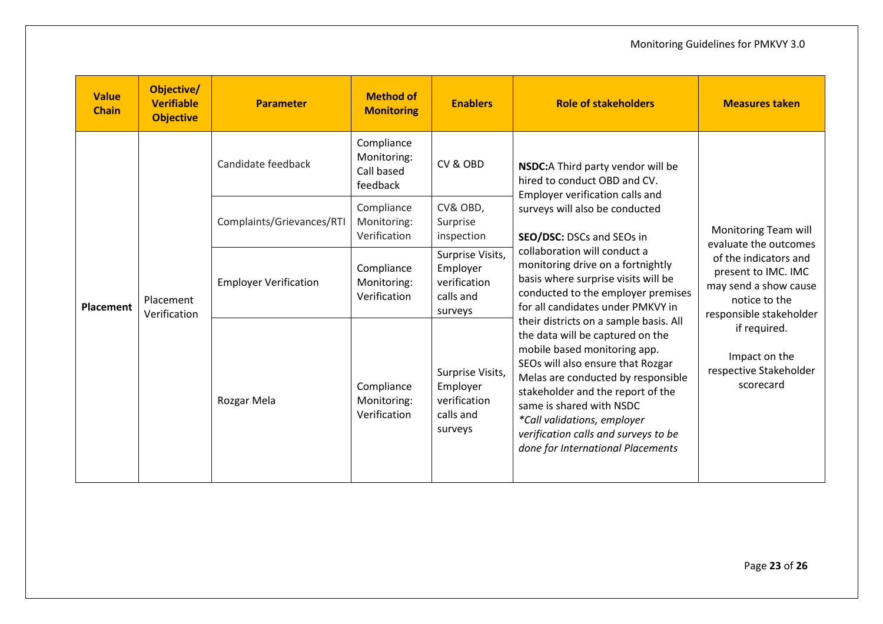| <b>Value</b><br><b>Chain</b> | Objective/<br><b>Verifiable</b><br><b>Objective</b> | <b>Parameter</b>             | <b>Method of</b><br><b>Monitoring</b>               | <b>Enablers</b>                                                      | <b>Role of stakeholders</b>                                                                                                                                                                                                                                                                                                                                        | <b>Measures taken</b>                                                                                                                                                                                                                      |
|------------------------------|-----------------------------------------------------|------------------------------|-----------------------------------------------------|----------------------------------------------------------------------|--------------------------------------------------------------------------------------------------------------------------------------------------------------------------------------------------------------------------------------------------------------------------------------------------------------------------------------------------------------------|--------------------------------------------------------------------------------------------------------------------------------------------------------------------------------------------------------------------------------------------|
| Placement                    | Placement<br>Verification                           | Candidate feedback           | Compliance<br>Monitoring:<br>Call based<br>feedback | CV & OBD                                                             | NSDC:A Third party vendor will be<br>hired to conduct OBD and CV.<br>Employer verification calls and<br>surveys will also be conducted<br>SEO/DSC: DSCs and SEOs in                                                                                                                                                                                                | Monitoring Team will<br>evaluate the outcomes<br>of the indicators and<br>present to IMC. IMC<br>may send a show cause<br>notice to the<br>responsible stakeholder<br>if required.<br>Impact on the<br>respective Stakeholder<br>scorecard |
|                              |                                                     | Complaints/Grievances/RTI    | Compliance<br>Monitoring:<br>Verification           | CV& OBD,<br>Surprise<br>inspection                                   |                                                                                                                                                                                                                                                                                                                                                                    |                                                                                                                                                                                                                                            |
|                              |                                                     | <b>Employer Verification</b> | Compliance<br>Monitoring:<br>Verification           | Surprise Visits,<br>Employer<br>verification<br>calls and<br>surveys | collaboration will conduct a<br>monitoring drive on a fortnightly<br>basis where surprise visits will be<br>conducted to the employer premises<br>for all candidates under PMKVY in                                                                                                                                                                                |                                                                                                                                                                                                                                            |
|                              |                                                     | Rozgar Mela                  | Compliance<br>Monitoring:<br>Verification           | Surprise Visits,<br>Employer<br>verification<br>calls and<br>surveys | their districts on a sample basis. All<br>the data will be captured on the<br>mobile based monitoring app.<br>SEOs will also ensure that Rozgar<br>Melas are conducted by responsible<br>stakeholder and the report of the<br>same is shared with NSDC<br>*Call validations, employer<br>verification calls and surveys to be<br>done for International Placements |                                                                                                                                                                                                                                            |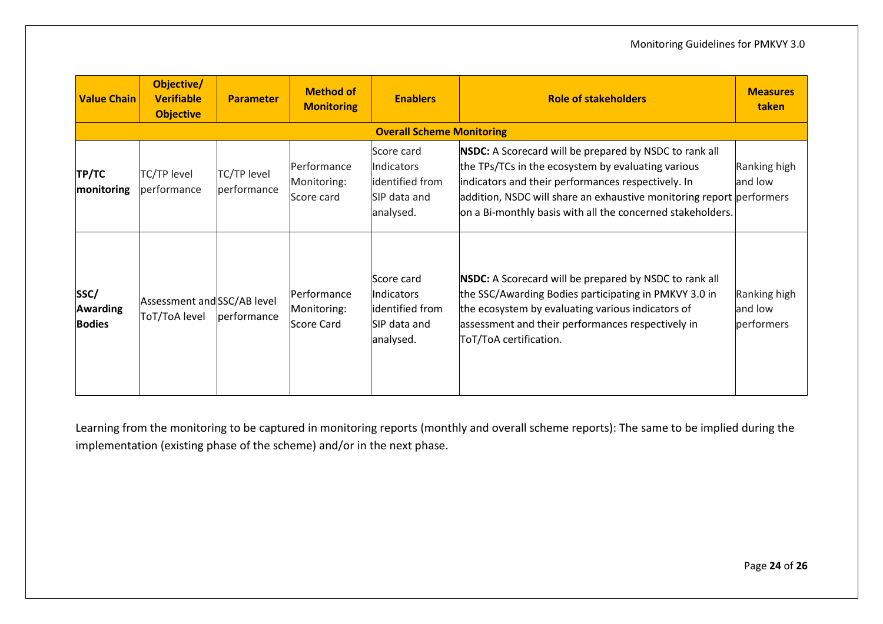| <b>Value Chain</b>                       | Objective/<br><b>Verifiable</b><br><b>Objective</b> | <b>Parameter</b>           | <b>Method of</b><br><b>Monitoring</b>           | <b>Enablers</b>                                                                 | <b>Role of stakeholders</b>                                                                                                                                                                                                                                                                              | <b>Measures</b><br>taken              |  |  |  |
|------------------------------------------|-----------------------------------------------------|----------------------------|-------------------------------------------------|---------------------------------------------------------------------------------|----------------------------------------------------------------------------------------------------------------------------------------------------------------------------------------------------------------------------------------------------------------------------------------------------------|---------------------------------------|--|--|--|
|                                          | <b>Overall Scheme Monitoring</b>                    |                            |                                                 |                                                                                 |                                                                                                                                                                                                                                                                                                          |                                       |  |  |  |
| <b>TP/TC</b><br>monitoring               | <b>TC/TP level</b><br>performance                   | TC/TP level<br>performance | Performance<br>Monitoring:<br>Score card        | Score card<br>Indicators<br>identified from<br>SIP data and<br>analysed.        | NSDC: A Scorecard will be prepared by NSDC to rank all<br>the TPs/TCs in the ecosystem by evaluating various<br>indicators and their performances respectively. In<br>addition, NSDC will share an exhaustive monitoring report performers<br>on a Bi-monthly basis with all the concerned stakeholders. | Ranking high<br>and low               |  |  |  |
| SSC/<br><b>Awarding</b><br><b>Bodies</b> | Assessment and SSC/AB level<br>ToT/ToA level        | performance                | Performance<br>Monitoring:<br><b>Score Card</b> | Score card<br><b>Indicators</b><br>identified from<br>SIP data and<br>analysed. | <b>NSDC:</b> A Scorecard will be prepared by NSDC to rank all<br>the SSC/Awarding Bodies participating in PMKVY 3.0 in<br>the ecosystem by evaluating various indicators of<br>assessment and their performances respectively in<br>ToT/ToA certification.                                               | Ranking high<br>and low<br>performers |  |  |  |

Learning from the monitoring to be captured in monitoring reports (monthly and overall scheme reports): The same to be implied during the implementation (existing phase of the scheme) and/or in the next phase.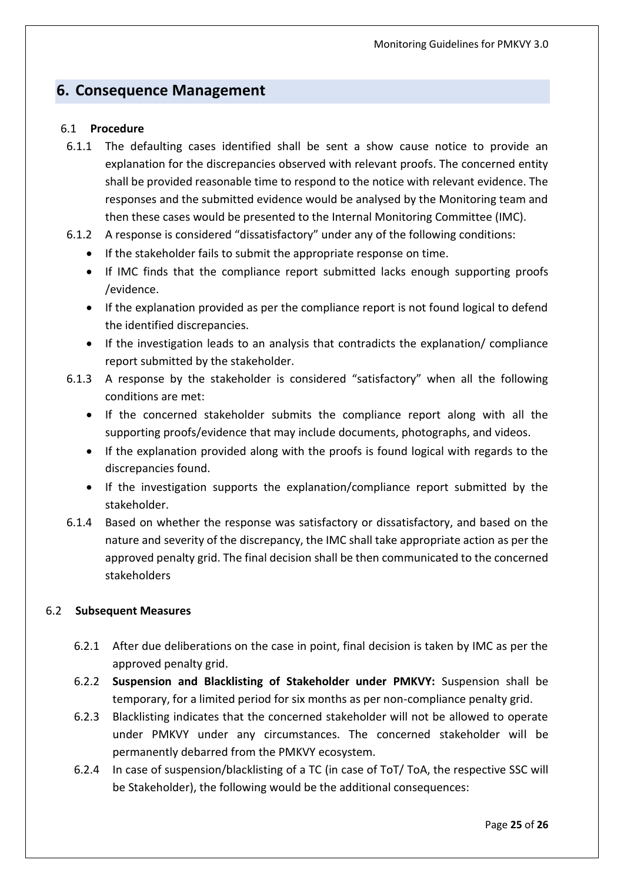## <span id="page-26-0"></span>**6. Consequence Management**

#### 6.1 **Procedure**

- 6.1.1 The defaulting cases identified shall be sent a show cause notice to provide an explanation for the discrepancies observed with relevant proofs. The concerned entity shall be provided reasonable time to respond to the notice with relevant evidence. The responses and the submitted evidence would be analysed by the Monitoring team and then these cases would be presented to the Internal Monitoring Committee (IMC).
- 6.1.2 A response is considered "dissatisfactory" under any of the following conditions:
	- If the stakeholder fails to submit the appropriate response on time.
	- If IMC finds that the compliance report submitted lacks enough supporting proofs /evidence.
	- If the explanation provided as per the compliance report is not found logical to defend the identified discrepancies.
	- If the investigation leads to an analysis that contradicts the explanation/ compliance report submitted by the stakeholder.
- 6.1.3 A response by the stakeholder is considered "satisfactory" when all the following conditions are met:
	- If the concerned stakeholder submits the compliance report along with all the supporting proofs/evidence that may include documents, photographs, and videos.
	- If the explanation provided along with the proofs is found logical with regards to the discrepancies found.
	- If the investigation supports the explanation/compliance report submitted by the stakeholder.
- 6.1.4 Based on whether the response was satisfactory or dissatisfactory, and based on the nature and severity of the discrepancy, the IMC shall take appropriate action as per the approved penalty grid. The final decision shall be then communicated to the concerned stakeholders

#### 6.2 **Subsequent Measures**

- 6.2.1 After due deliberations on the case in point, final decision is taken by IMC as per the approved penalty grid.
- 6.2.2 **Suspension and Blacklisting of Stakeholder under PMKVY:** Suspension shall be temporary, for a limited period for six months as per non-compliance penalty grid.
- 6.2.3 Blacklisting indicates that the concerned stakeholder will not be allowed to operate under PMKVY under any circumstances. The concerned stakeholder will be permanently debarred from the PMKVY ecosystem.
- 6.2.4 In case of suspension/blacklisting of a TC (in case of ToT/ ToA, the respective SSC will be Stakeholder), the following would be the additional consequences: